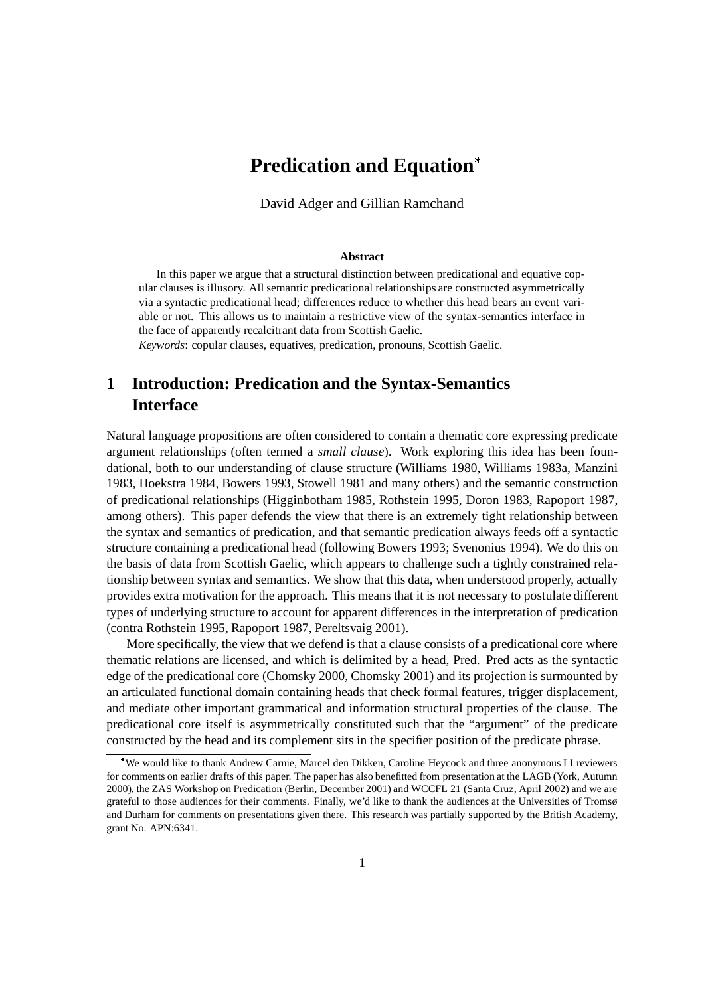# **Predication and Equation**

David Adger and Gillian Ramchand

#### **Abstract**

In this paper we argue that a structural distinction between predicational and equative copular clauses is illusory. All semantic predicational relationships are constructed asymmetrically via a syntactic predicational head; differences reduce to whether this head bears an event variable or not. This allows us to maintain a restrictive view of the syntax-semantics interface in the face of apparently recalcitrant data from Scottish Gaelic.

*Keywords*: copular clauses, equatives, predication, pronouns, Scottish Gaelic.

# **1 Introduction: Predication and the Syntax-Semantics Interface**

Natural language propositions are often considered to contain a thematic core expressing predicate argument relationships (often termed a *small clause*). Work exploring this idea has been foundational, both to our understanding of clause structure (Williams 1980, Williams 1983a, Manzini 1983, Hoekstra 1984, Bowers 1993, Stowell 1981 and many others) and the semantic construction of predicational relationships (Higginbotham 1985, Rothstein 1995, Doron 1983, Rapoport 1987, among others). This paper defends the view that there is an extremely tight relationship between the syntax and semantics of predication, and that semantic predication always feeds off a syntactic structure containing a predicational head (following Bowers 1993; Svenonius 1994). We do this on the basis of data from Scottish Gaelic, which appears to challenge such a tightly constrained relationship between syntax and semantics. We show that this data, when understood properly, actually provides extra motivation for the approach. This means that it is not necessary to postulate different types of underlying structure to account for apparent differences in the interpretation of predication (contra Rothstein 1995, Rapoport 1987, Pereltsvaig 2001).

More specifically, the view that we defend is that a clause consists of a predicational core where thematic relations are licensed, and which is delimited by a head, Pred. Pred acts as the syntactic edge of the predicational core (Chomsky 2000, Chomsky 2001) and its projection is surmounted by an articulated functional domain containing heads that check formal features, trigger displacement, and mediate other important grammatical and information structural properties of the clause. The predicational core itself is asymmetrically constituted such that the "argument" of the predicate constructed by the head and its complement sits in the specifier position of the predicate phrase.

We would like to thank Andrew Carnie, Marcel den Dikken, Caroline Heycock and three anonymous LI reviewers for comments on earlier drafts of this paper. The paper has also benefitted from presentation at the LAGB (York, Autumn 2000), the ZAS Workshop on Predication (Berlin, December 2001) and WCCFL 21 (Santa Cruz, April 2002) and we are grateful to those audiences for their comments. Finally, we'd like to thank the audiences at the Universities of Tromsø and Durham for comments on presentations given there. This research was partially supported by the British Academy, grant No. APN:6341.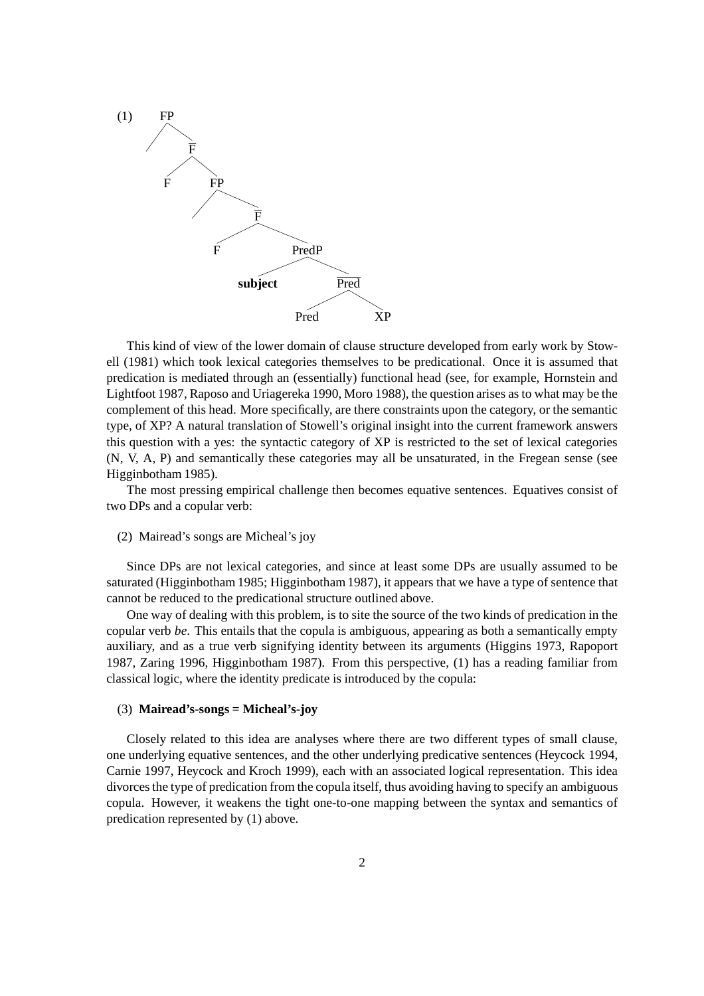

This kind of view of the lower domain of clause structure developed from early work by Stowell (1981) which took lexical categories themselves to be predicational. Once it is assumed that predication is mediated through an (essentially) functional head (see, for example, Hornstein and Lightfoot 1987, Raposo and Uriagereka 1990, Moro 1988), the question arises asto what may be the complement of this head. More specifically, are there constraints upon the category, or the semantic type, of XP? A natural translation of Stowell's original insight into the current framework answers this question with a yes: the syntactic category of XP is restricted to the set of lexical categories (N, V, A, P) and semantically these categories may all be unsaturated, in the Fregean sense (see Higginbotham 1985).

The most pressing empirical challenge then becomes equative sentences. Equatives consist of two DPs and a copular verb:

 $(2)$  Mairead's songs are Mìcheal's joy

Since DPs are not lexical categories, and since at least some DPs are usually assumed to be saturated (Higginbotham 1985; Higginbotham1987), it appears that we have a type of sentence that cannot be reduced to the predicational structure outlined above.

One way of dealing with this problem, is to site the source of the two kinds of predication in the copular verb *be*. This entails that the copula is ambiguous, appearing as both a semantically empty auxiliary, and as a true verb signifying identity between its arguments (Higgins 1973, Rapoport 1987, Zaring 1996, Higginbotham 1987). From this perspective, (1) has a reading familiar from classical logic, where the identity predicate is introduced by the copula:

#### (3) **Mairead's-songs = Micheal's-joy**

Closely related to this idea are analyses where there are two different types of small clause, one underlying equative sentences, and the other underlying predicative sentences (Heycock 1994, Carnie 1997, Heycock and Kroch 1999), each with an associated logical representation. This idea divorcesthe type of predication from the copula itself, thus avoiding having to specify an ambiguous copula. However, it weakens the tight one-to-one mapping between the syntax and semantics of predication represented by (1) above.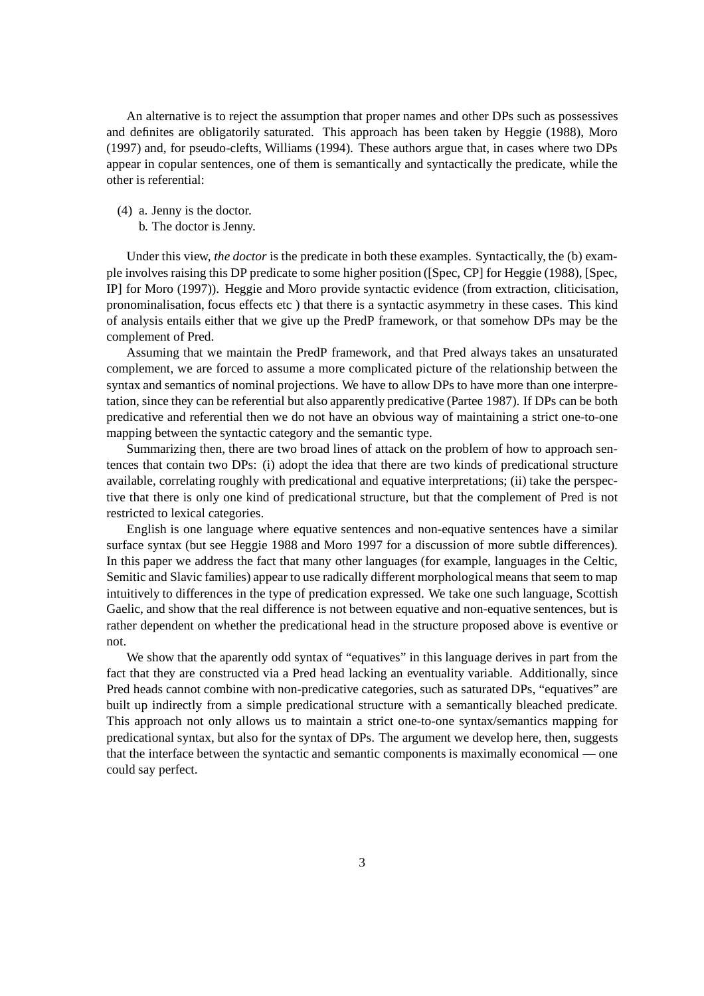An alternative is to reject the assumption that proper names and other DPs such as possessives and definites are obligatorily saturated. This approach has been taken by Heggie (1988), Moro (1997) and, for pseudo-clefts, Williams (1994). These authors argue that, in cases where two DPs appear in copular sentences, one of them is semantically and syntactically the predicate, while the other is referential:

- (4) a. Jenny is the doctor.
	- b. The doctor is Jenny.

Under this view, *the doctor* is the predicate in both these examples. Syntactically, the (b) example involves raising this DP predicate to some higher position ([Spec, CP] for Heggie (1988), [Spec, IP] for Moro (1997)). Heggie and Moro provide syntactic evidence (from extraction, cliticisation, pronominalisation, focus effects etc ) that there is a syntactic asymmetry in these cases. This kind of analysis entails either that we give up the PredP framework, or that somehow DPs may be the complement of Pred.

Assuming that we maintain the PredP framework, and that Pred always takes an unsaturated complement, we are forced to assume a more complicated picture of the relationship between the syntax and semantics of nominal projections. We have to allow DPs to have more than one interpretation,since they can be referential but also apparently predicative (Partee 1987). If DPs can be both predicative and referential then we do not have an obvious way of maintaining a strict one-to-one mapping between the syntactic category and the semantic type.

Summarizing then, there are two broad lines of attack on the problem of how to approach sentences that contain two DPs: (i) adopt the idea that there are two kinds of predicational structure available, correlating roughly with predicational and equative interpretations; (ii) take the perspective that there is only one kind of predicational structure, but that the complement of Pred is not restricted to lexical categories.

English is one language where equative sentences and non-equative sentences have a similar surface syntax (but see Heggie 1988 and Moro 1997 for a discussion of more subtle differences). In this paper we address the fact that many other languages (for example, languages in the Celtic, Semitic and Slavic families) appear to use radically different morphological means that seem to map intuitively to differences in the type of predication expressed. We take one such language, Scottish Gaelic, and show that the real difference is not between equative and non-equative sentences, but is rather dependent on whether the predicational head in the structure proposed above is eventive or not.

We show that the aparently odd syntax of "equatives" in this language derives in part from the fact that they are constructed via a Pred head lacking an eventuality variable. Additionally, since Pred heads cannot combine with non-predicative categories, such as saturated DPs, "equatives" are built up indirectly from a simple predicational structure with a semantically bleached predicate. This approach not only allows us to maintain a strict one-to-one syntax/semantics mapping for predicational syntax, but also for the syntax of DPs. The argument we develop here, then, suggests that the interface between the syntactic and semantic components is maximally economical — one could say perfect.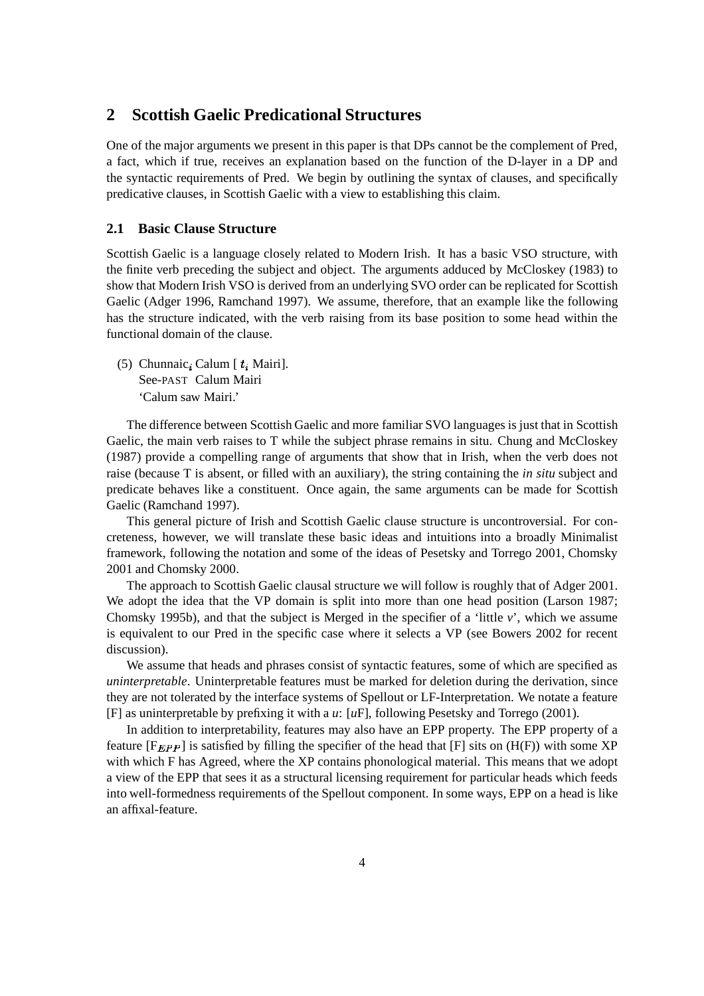## **2 Scottish Gaelic Predicational Structures**

One of the major arguments we present in this paper is that DPs cannot be the complement of Pred, a fact, which if true, receives an explanation based on the function of the D-layer in a DP and the syntactic requirements of Pred. We begin by outlining the syntax of clauses, and specifically predicative clauses, in Scottish Gaelic with a view to establishing this claim.

### **2.1 Basic Clause Structure**

Scottish Gaelic is a language closely related to Modern Irish. It has a basic VSO structure, with the finite verb preceding the subject and object. The arguments adduced by McCloskey (1983) to show that Modern Irish VSO is derived from an underlying SVO order can be replicated for Scottish Gaelic (Adger 1996, Ramchand 1997). We assume, therefore, that an example like the following has the structure indicated, with the verb raising from its base position to some head within the functional domain of the clause.

(5) Chunnaic, Calum [ $t_i$  Mairi]. See-PAST Calum Mairi 'Calum saw Mairi.'

The difference between Scottish Gaelic and more familiar SVO languages is just that in Scottish Gaelic, the main verb raises to T while the subject phrase remains in situ. Chung and McCloskey (1987) provide a compelling range of arguments that show that in Irish, when the verb does not raise (because T is absent, or filled with an auxiliary), the string containing the *in situ* subject and predicate behaves like a constituent. Once again, the same arguments can be made for Scottish Gaelic (Ramchand 1997).

This general picture of Irish and Scottish Gaelic clause structure is uncontroversial. For concreteness, however, we will translate these basic ideas and intuitions into a broadly Minimalist framework, following the notation and some of the ideas of Pesetsky and Torrego 2001, Chomsky 2001 and Chomsky 2000.

The approach to Scottish Gaelic clausal structure we will follow is roughly that of Adger 2001. We adopt the idea that the VP domain is split into more than one head position (Larson 1987; Chomsky 1995b), and that the subject is Merged in the specifier of a 'little *v*', which we assume is equivalent to our Pred in the specific case where it selects a VP (see Bowers 2002 for recent discussion).

We assume that heads and phrases consist of syntactic features, some of which are specified as *uninterpretable*. Uninterpretable features must be marked for deletion during the derivation, since they are not tolerated by the interface systems of Spellout or LF-Interpretation. We notate a feature [F] as uninterpretable by prefixing it with a *u*: [*u*F], following Pesetsky and Torrego (2001).

In addition to interpretability, features may also have an EPP property. The EPP property of a feature  $[F_{EPP}]$  is satisfied by filling the specifier of the head that  $[F]$  sits on  $(H(F))$  with some XP with which F has Agreed, where the XP contains phonological material. This means that we adopt a view of the EPP that sees it as a structural licensing requirement for particular heads which feeds into well-formedness requirements of the Spellout component. In some ways, EPP on a head is like an affixal-feature.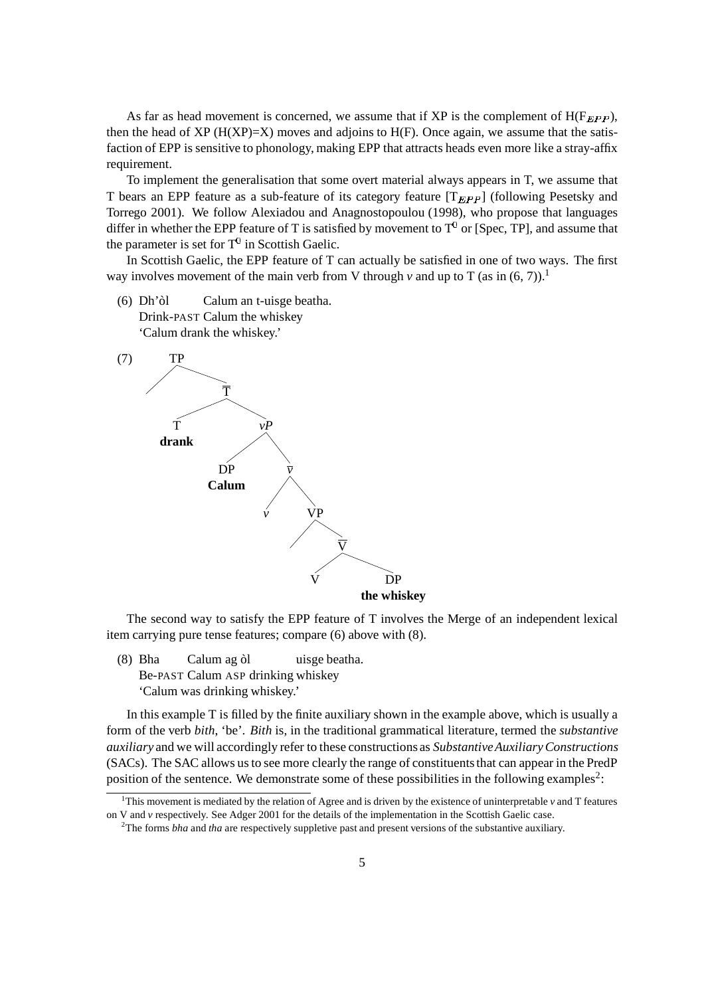As far as head movement is concerned, we assume that if XP is the complement of  $H(F_{EPP})$ , then the head of XP ( $H(XP)=X$ ) moves and adjoins to  $H(F)$ . Once again, we assume that the satisfaction of EPP is sensitive to phonology, making EPP that attracts heads even more like a stray-affix requirement.

To implement the generalisation that some overt material always appears in T, we assume that T bears an EPP feature as a sub-feature of its category feature  $[T_{EPP}]$  (following Pesetsky and Torrego 2001). We follow Alexiadou and Anagnostopoulou (1998), who propose that languages differ in whether the EPP feature of T is satisfied by movement to  $T^0$  or [Spec, TP], and assume that the parameter is set for  $T^0$  in Scottish Gaelic.

In Scottish Gaelic, the EPP feature of T can actually be satisfied in one of two ways. The first way involves movement of the main verb from V through  $\nu$  and up to T (as in (6, 7)).<sup>1</sup>

(6) Dh'ol` Calum an t-uisge beatha. Drink-PAST Calum the whiskey 'Calum drank the whiskey.'



The second way to satisfy the EPP feature of T involves the Merge of an independent lexical item carrying pure tense features; compare (6) above with (8).

(8) Bha Calum ag òl uisge beatha. Be-PAST Calum ASP drinking whiskey 'Calum was drinking whiskey.'

In this example T is filled by the finite auxiliary shown in the example above, which is usually a form of the verb *bith*, 'be'. *Bith* is, in the traditional grammatical literature, termed the *substantive auxiliary* and we will accordingly refer to these constructions as *SubstantiveAuxiliaryConstructions* (SACs). The SAC allows us to see more clearly the range of constituents that can appear in the PredP position of the sentence. We demonstrate some of these possibilities in the following examples<sup>2</sup>:

<sup>&</sup>lt;sup>1</sup>This movement is mediated by the relation of Agree and is driven by the existence of uninterpretable  $\nu$  and T features on V and *v* respectively. See Adger 2001 for the details of the implementation in the Scottish Gaelic case.

<sup>&</sup>lt;sup>2</sup>The forms *bha* and *tha* are respectively suppletive past and present versions of the substantive auxiliary.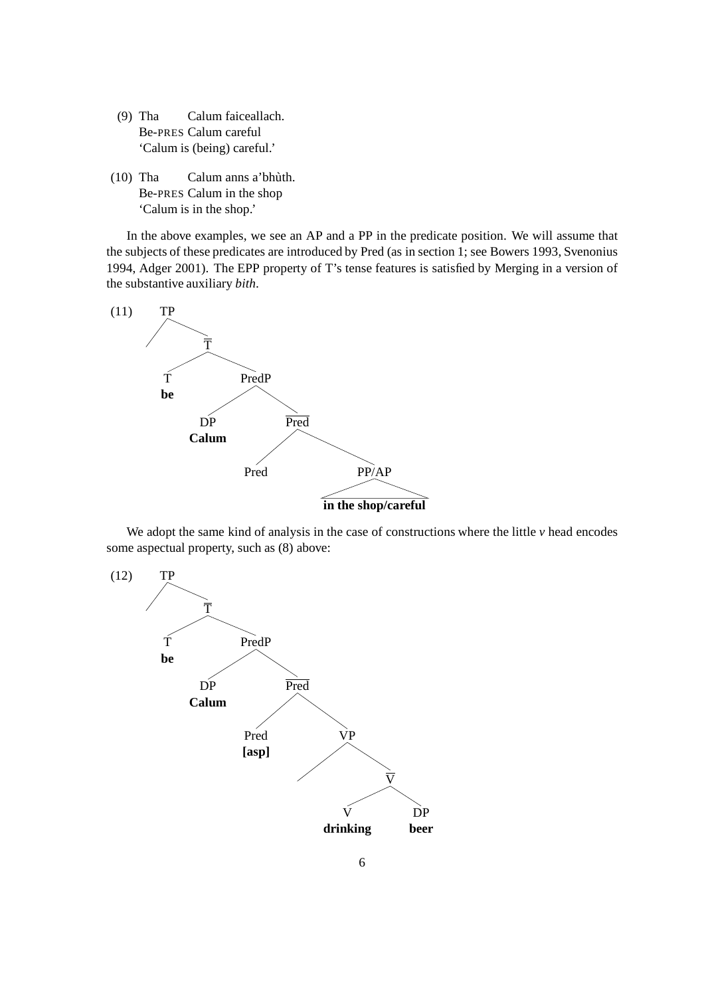- (9) Tha Calum faiceallach. Be-PRES Calum careful 'Calum is (being) careful.'
- (10) Tha Calum anns a' bhùth. Be-PRES Calum in the shop 'Calum is in the shop.'

In the above examples, we see an AP and a PP in the predicate position. We will assume that the subjects of these predicates are introduced by Pred (as in section 1; see Bowers 1993, Svenonius 1994, Adger 2001). The EPP property of T's tense features is satisfied by Merging in a version of the substantive auxiliary *bith*.



We adopt the same kind of analysis in the case of constructions where the little *v* head encodes some aspectual property, such as (8) above:

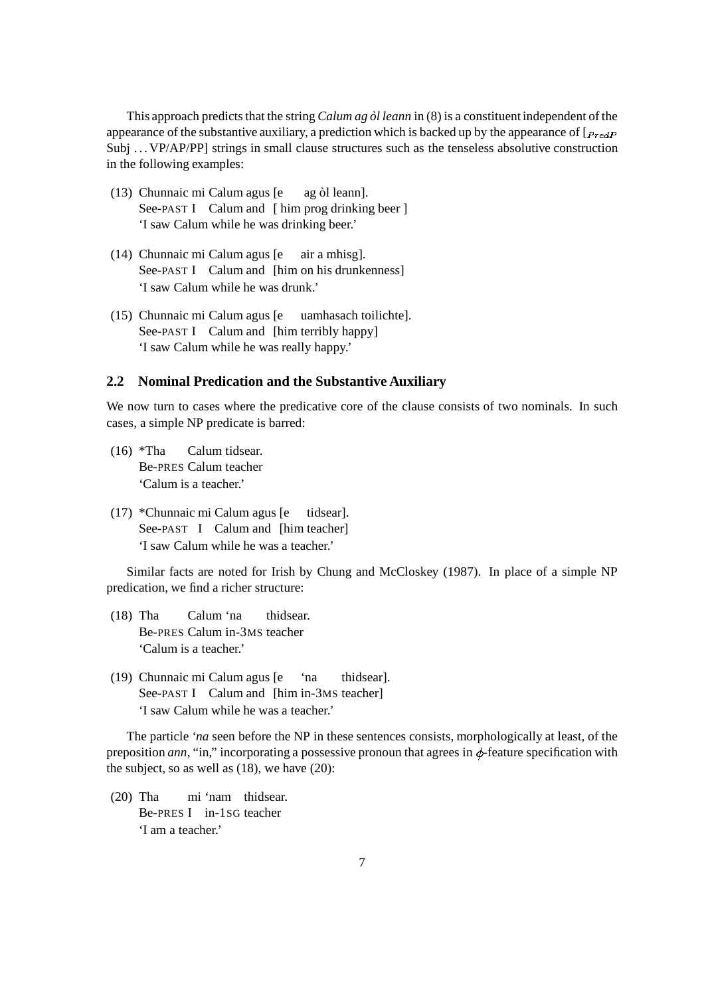This approach predicts that the string *Calum ag òl leann* in (8) is a constituent independent of the appearance of the substantive auxiliary, a prediction which is backed up by the appearance of  $[\mathbf{p_{redP}}]$ Subj ... VP/AP/PP] strings in small clause structures such as the tenseless absolutive construction in the following examples:

- (13) Chunnaic mi Calum agus [e ag òl leann]. See-PAST I Calum and [ him prog drinking beer ] 'I saw Calum while he was drinking beer.'
- (14) Chunnaic mi Calum agus [e air a mhisg]. See-PAST I Calum and [him on his drunkenness] 'I saw Calum while he was drunk.'
- (15) Chunnaic mi Calum agus [e uamhasach toilichte]. See-PAST I Calum and [him terribly happy] 'I saw Calum while he was really happy.'

## **2.2 Nominal Predication and the Substantive Auxiliary**

We now turn to cases where the predicative core of the clause consists of two nominals. In such cases, a simple NP predicate is barred:

- (16) \*Tha Calum tidsear. Be-PRES Calum teacher 'Calum is a teacher.'
- (17) \*Chunnaic mi Calum agus [e tidsear]. See-PAST I Calum and [him teacher] 'I saw Calum while he was a teacher.'

Similar facts are noted for Irish by Chung and McCloskey (1987). In place of a simple NP predication, we find a richer structure:

- (18) Tha Calum 'na thidsear. Be-PRES Calum in-3MS teacher 'Calum is a teacher.'
- (19) Chunnaic mi Calum agus [e 'na thidsear]. See-PAST I Calum and [him in-3MS teacher] 'I saw Calum while he was a teacher.'

The particle *'na* seen before the NP in these sentences consists, morphologically at least, of the preposition *ann*, "in," incorporating a possessive pronoun that agrees in  $\phi$ -feature specification with the subject, so as well as (18), we have (20):

(20) Tha mi 'nam thidsear. Be-PRES I in-1SG teacher 'I am a teacher.'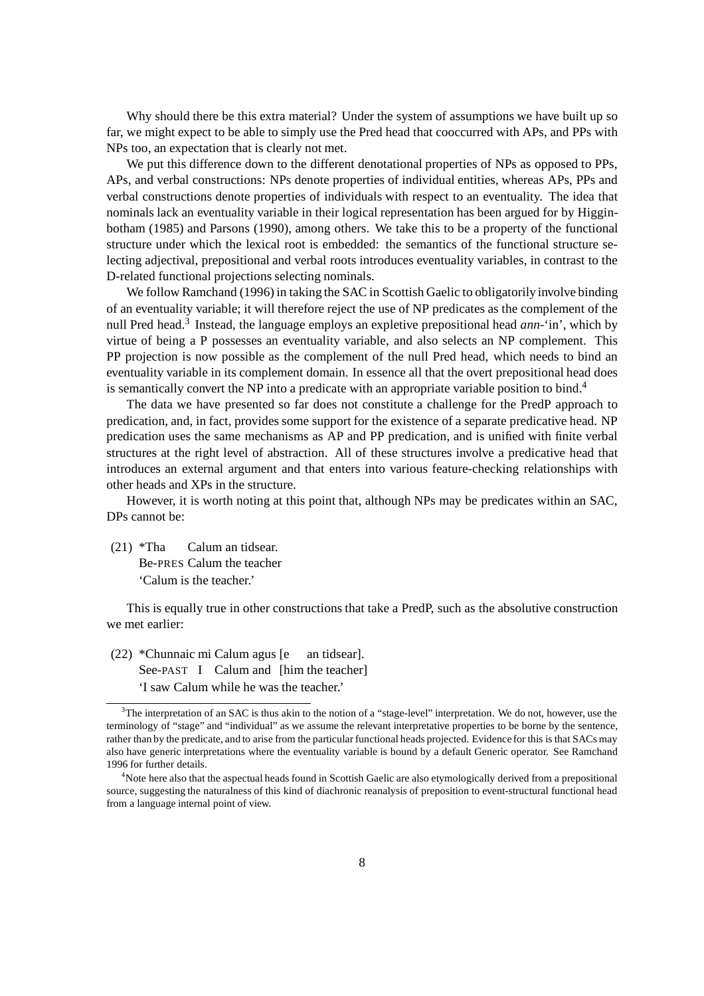Why should there be this extra material? Under the system of assumptions we have built up so far, we might expect to be able to simply use the Pred head that cooccurred with APs, and PPs with NPs too, an expectation that is clearly not met.

We put this difference down to the different denotational properties of NPs as opposed to PPs, APs, and verbal constructions: NPs denote properties of individual entities, whereas APs, PPs and verbal constructions denote properties of individuals with respect to an eventuality. The idea that nominals lack an eventuality variable in their logical representation has been argued for by Higginbotham (1985) and Parsons (1990), among others. We take this to be a property of the functional structure under which the lexical root is embedded: the semantics of the functional structure selecting adjectival, prepositional and verbal roots introduces eventuality variables, in contrast to the D-related functional projections selecting nominals.

We follow Ramchand (1996) in taking the SAC in Scottish Gaelic to obligatorily involve binding of an eventuality variable; it will therefore reject the use of NP predicates as the complement of the null Pred head.<sup>3</sup> Instead, the language employs an expletive prepositional head *ann*-'in', which by virtue of being a P possesses an eventuality variable, and also selects an NP complement. This PP projection is now possible as the complement of the null Pred head, which needs to bind an eventuality variable in its complement domain. In essence all that the overt prepositional head does is semantically convert the NP into a predicate with an appropriate variable position to bind.<sup>4</sup>

The data we have presented so far does not constitute a challenge for the PredP approach to predication, and, in fact, provides some support for the existence of a separate predicative head. NP predication uses the same mechanisms as AP and PP predication, and is unified with finite verbal structures at the right level of abstraction. All of these structures involve a predicative head that introduces an external argument and that enters into various feature-checking relationships with other heads and XPs in the structure.

However, it is worth noting at this point that, although NPs may be predicates within an SAC, DPs cannot be:

(21) \*Tha Calum an tidsear. Be-PRES Calum the teacher 'Calum is the teacher.'

This is equally true in other constructions that take a PredP, such as the absolutive construction we met earlier:

(22) \*Chunnaic mi Calum agus [e an tidsear]. See-PAST I Calum and [him the teacher] 'I saw Calum while he was the teacher.'

 $3$ The interpretation of an SAC is thus akin to the notion of a "stage-level" interpretation. We do not, however, use the terminology of "stage" and "individual" as we assume the relevant interpretative properties to be borne by the sentence, rather than by the predicate, and to arise from the particular functional heads projected. Evidence for this is that SACs may also have generic interpretations where the eventuality variable is bound by a default Generic operator. See Ramchand 1996 for further details.

<sup>&</sup>lt;sup>4</sup>Note here also that the aspectual heads found in Scottish Gaelic are also etymologically derived from a prepositional source, suggesting the naturalness of this kind of diachronic reanalysis of preposition to event-structural functional head from a language internal point of view.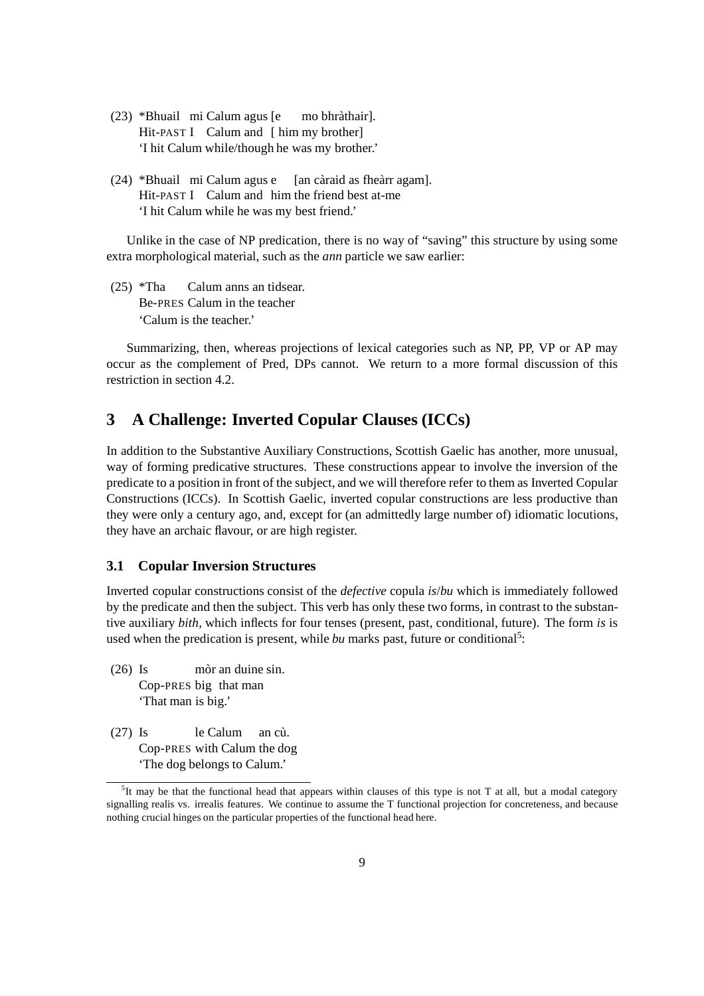- (23) \*Bhuail mi Calum agus [e mo bhrathair]. ` Hit-PAST I Calum and [ him my brother] 'I hit Calum while/though he was my brother.'
- $(24)$  \*Bhuail mi Calum agus e [an càraid as fheàrr agam]. Hit-PAST I Calum and him the friend best at-me 'I hit Calum while he was my best friend.'

Unlike in the case of NP predication, there is no way of "saving" this structure by using some extra morphological material, such as the *ann* particle we saw earlier:

(25) \*Tha Calum anns an tidsear. Be-PRES Calum in the teacher 'Calum is the teacher.'

Summarizing, then, whereas projections of lexical categories such as NP, PP, VP or AP may occur as the complement of Pred, DPs cannot. We return to a more formal discussion of this restriction in section 4.2.

## **3 A Challenge: Inverted Copular Clauses (ICCs)**

In addition to the Substantive Auxiliary Constructions, Scottish Gaelic has another, more unusual, way of forming predicative structures. These constructions appear to involve the inversion of the predicate to a position in front of the subject, and we will therefore refer to them as Inverted Copular Constructions (ICCs). In Scottish Gaelic, inverted copular constructions are less productive than they were only a century ago, and, except for (an admittedly large number of) idiomatic locutions, they have an archaic flavour, or are high register.

## **3.1 Copular Inversion Structures**

Inverted copular constructions consist of the *defective* copula *is*/*bu* which is immediately followed by the predicate and then the subject. This verb has only these two forms, in contrast to the substantive auxiliary *bith*, which inflects for four tenses (present, past, conditional, future). The form *is* is used when the predication is present, while *bu* marks past, future or conditional<sup>5</sup>:

- $(26)$  Is mòr an duine sin. Cop-PRES big that man 'That man is big.'
- $(27)$  Is le Calum an cu. Cop-PRES with Calum the dog 'The dog belongs to Calum.'

 ${}^{5}$ It may be that the functional head that appears within clauses of this type is not T at all, but a modal category signalling realis vs. irrealis features. We continue to assume the T functional projection for concreteness, and because nothing crucial hinges on the particular properties of the functional head here.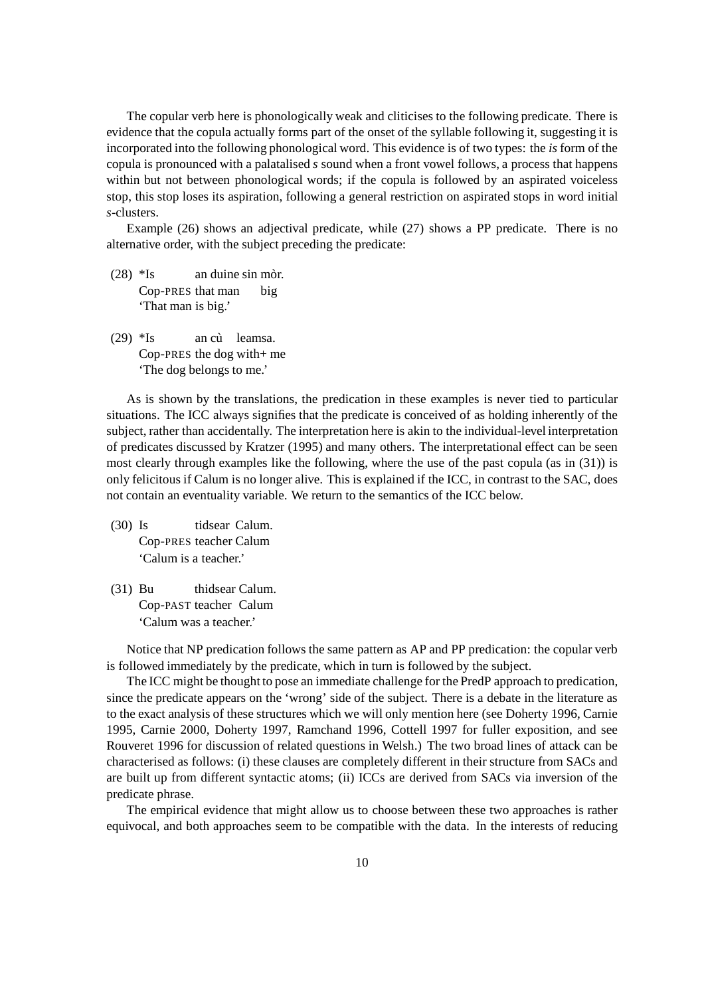The copular verb here is phonologically weak and cliticises to the following predicate. There is evidence that the copula actually forms part of the onset of the syllable following it, suggesting it is incorporated into the following phonological word. This evidence is of two types: the *is* form of the copula is pronounced with a palatalised *s* sound when a front vowel follows, a process that happens within but not between phonological words; if the copula is followed by an aspirated voiceless stop, this stop loses its aspiration, following a general restriction on aspirated stops in word initial *s*-clusters.

Example (26) shows an adjectival predicate, while (27) shows a PP predicate. There is no alternative order, with the subject preceding the predicate:

- $(28)$  \*Is an duine sin mòr. Cop-PRES that man big 'That man is big.'
- $(29)$  \*Is an cù leamsa. Cop-PRES the dog with+ me 'The dog belongs to me.'

As is shown by the translations, the predication in these examples is never tied to particular situations. The ICC always signifies that the predicate is conceived of as holding inherently of the subject, rather than accidentally. The interpretation here is akin to the individual-level interpretation of predicates discussed by Kratzer (1995) and many others. The interpretational effect can be seen most clearly through examples like the following, where the use of the past copula (as in (31)) is only felicitous if Calum is no longer alive. This is explained if the ICC, in contrast to the SAC, does not contain an eventuality variable. We return to the semantics of the ICC below.

- (30) Is tidsear Calum. Cop-PRES teacher Calum 'Calum is a teacher.'
- (31) Bu thidsear Calum. Cop-PAST teacher Calum 'Calum was a teacher.'

Notice that NP predication follows the same pattern as AP and PP predication: the copular verb is followed immediately by the predicate, which in turn is followed by the subject.

The ICC might be thought to pose an immediate challenge for the PredP approach to predication, since the predicate appears on the 'wrong' side of the subject. There is a debate in the literature as to the exact analysis of these structures which we will only mention here (see Doherty 1996, Carnie 1995, Carnie 2000, Doherty 1997, Ramchand 1996, Cottell 1997 for fuller exposition, and see Rouveret 1996 for discussion of related questions in Welsh.) The two broad lines of attack can be characterised as follows: (i) these clauses are completely different in their structure from SACs and are built up from different syntactic atoms; (ii) ICCs are derived from SACs via inversion of the predicate phrase.

The empirical evidence that might allow us to choose between these two approaches is rather equivocal, and both approaches seem to be compatible with the data. In the interests of reducing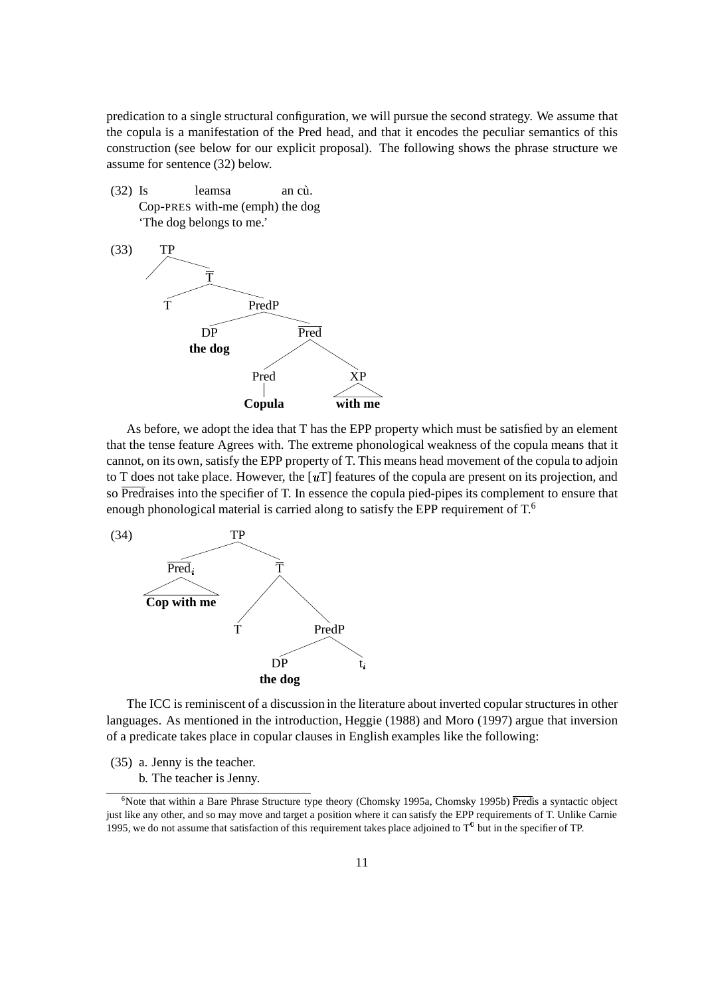predication to a single structural configuration, we will pursue the second strategy. We assume that the copula is a manifestation of the Pred head, and that it encodes the peculiar semantics of this construction (see below for our explicit proposal). The following shows the phrase structure we assume for sentence (32) below.

 $(32)$  Is leams an cu. Cop-PRES with-me (emph) the dog 'The dog belongs to me.'



As before, we adopt the idea that T has the EPP property which must be satisfied by an element that the tense feature Agrees with. The extreme phonological weakness of the copula means that it cannot, on its own, satisfy the EPP property of T. This means head movement of the copula to adjoin to T does not take place. However, the  $\lceil u \rceil$  features of the copula are present on its projection, and so Predraises into the specifier of T. In essence the copula pied-pipes its complement to ensure that enough phonological material is carried along to satisfy the EPP requirement of  $T$ .<sup>6</sup>



The ICC is reminiscent of a discussion in the literature about inverted copular structures in other languages. As mentioned in the introduction, Heggie (1988) and Moro (1997) argue that inversion of a predicate takes place in copular clauses in English examples like the following:

(35) a. Jenny is the teacher.

b. The teacher is Jenny.

 $6$ Note that within a Bare Phrase Structure type theory (Chomsky 1995a, Chomsky 1995b) Predis a syntactic object just like any other, and so may move and target a position where it can satisfy the EPP requirements of T. Unlike Carnie 1995, we do not assume that satisfaction of this requirement takes place adjoined to  $T<sup>0</sup>$  but in the specifier of TP.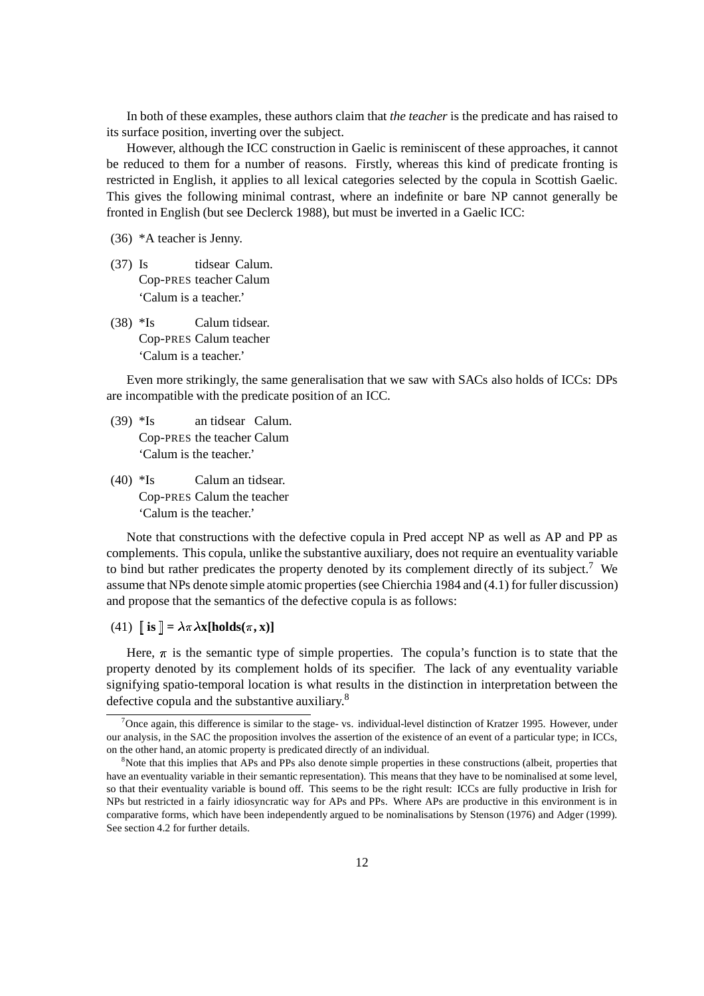In both of these examples, these authors claim that *the teacher* is the predicate and has raised to its surface position, inverting over the subject.

However, although the ICC construction in Gaelic is reminiscent of these approaches, it cannot be reduced to them for a number of reasons. Firstly, whereas this kind of predicate fronting is restricted in English, it applies to all lexical categories selected by the copula in Scottish Gaelic. This gives the following minimal contrast, where an indefinite or bare NP cannot generally be fronted in English (but see Declerck 1988), but must be inverted in a Gaelic ICC:

(36) \*A teacher is Jenny.

- (37) Is tidsear Calum. Cop-PRES teacher Calum 'Calum is a teacher.'
- (38) \*Is Calum tidsear. Cop-PRES Calum teacher 'Calum is a teacher.'

Even more strikingly, the same generalisation that we saw with SACs also holds of ICCs: DPs are incompatible with the predicate position of an ICC.

- (39) \*Is an tidsear Calum. Cop-PRES the teacher Calum 'Calum is the teacher.'
- (40) \*Is Calum an tidsear. Cop-PRES Calum the teacher 'Calum is the teacher.'

Note that constructions with the defective copula in Pred accept NP as well as AP and PP as complements. This copula, unlike the substantive auxiliary, does not require an eventuality variable to bind but rather predicates the property denoted by its complement directly of its subject.<sup>7</sup> We assume that NPs denote simple atomic properties(see Chierchia 1984 and (4.1) for fuller discussion) and propose that the semantics of the defective copula is as follows:

(41)  $\[\n\mathbf{i}\mathbf{s}\] = \lambda \pi \lambda \mathbf{x}[\text{holds}(\pi, \mathbf{x})]\n\]$ 

Here,  $\pi$  is the semantic type of simple properties. The copula's function is to state that the property denoted by its complement holds of its specifier. The lack of any eventuality variable signifying spatio-temporal location is what results in the distinction in interpretation between the defective copula and the substantive auxiliary.<sup>8</sup>

<sup>&</sup>lt;sup>7</sup>Once again, this difference is similar to the stage- vs. individual-level distinction of Kratzer 1995. However, under our analysis, in the SAC the proposition involves the assertion of the existence of an event of a particular type; in ICCs, on the other hand, an atomic property is predicated directly of an individual.

<sup>&</sup>lt;sup>8</sup>Note that this implies that APs and PPs also denote simple properties in these constructions (albeit, properties that have an eventuality variable in their semantic representation). This means that they have to be nominalised at some level, so that their eventuality variable is bound off. This seems to be the right result: ICCs are fully productive in Irish for NPs but restricted in a fairly idiosyncratic way for APs and PPs. Where APs are productive in this environment is in comparative forms, which have been independently argued to be nominalisations by Stenson (1976) and Adger (1999). See section 4.2 for further details.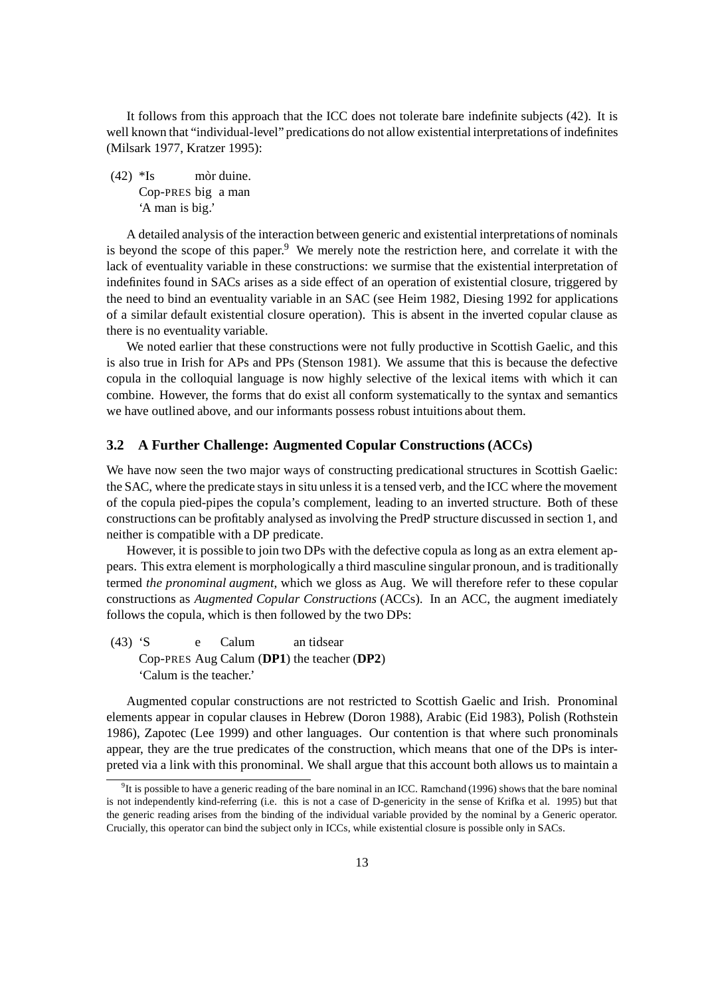It follows from this approach that the ICC does not tolerate bare indefinite subjects (42). It is well known that "individual-level" predications do not allow existential interpretations of indefinites (Milsark 1977, Kratzer 1995):

 $(42)$  \*Is mòr duine. Cop-PRES big a man 'A man is big.'

A detailed analysis of the interaction between generic and existential interpretations of nominals is beyond the scope of this paper.<sup>9</sup> We merely note the restriction here, and correlate it with the lack of eventuality variable in these constructions: we surmise that the existential interpretation of indefinites found in SACs arises as a side effect of an operation of existential closure, triggered by the need to bind an eventuality variable in an SAC (see Heim 1982, Diesing 1992 for applications of a similar default existential closure operation). This is absent in the inverted copular clause as there is no eventuality variable.

We noted earlier that these constructions were not fully productive in Scottish Gaelic, and this is also true in Irish for APs and PPs (Stenson 1981). We assume that this is because the defective copula in the colloquial language is now highly selective of the lexical items with which it can combine. However, the forms that do exist all conform systematically to the syntax and semantics we have outlined above, and our informants possess robust intuitions about them.

## **3.2 A Further Challenge: Augmented Copular Constructions (ACCs)**

We have now seen the two major ways of constructing predicational structures in Scottish Gaelic: the SAC, where the predicate staysin situ unlessit is a tensed verb, and the ICC where the movement of the copula pied-pipes the copula's complement, leading to an inverted structure. Both of these constructions can be profitably analysed as involving the PredP structure discussed in section 1, and neither is compatible with a DP predicate.

However, it is possible to join two DPs with the defective copula as long as an extra element appears. This extra element is morphologically a third masculine singular pronoun, and istraditionally termed *the pronominal augment*, which we gloss as Aug. We will therefore refer to these copular constructions as *Augmented Copular Constructions* (ACCs). In an ACC, the augment imediately follows the copula, which is then followed by the two DPs:

(43) 'S e Calum an tidsear Cop-PRES Aug Calum (**DP1**) the teacher (**DP2**) 'Calum is the teacher.'

Augmented copular constructions are not restricted to Scottish Gaelic and Irish. Pronominal elements appear in copular clauses in Hebrew (Doron 1988), Arabic (Eid 1983), Polish (Rothstein 1986), Zapotec (Lee 1999) and other languages. Our contention is that where such pronominals appear, they are the true predicates of the construction, which means that one of the DPs is interpreted via a link with this pronominal. We shall argue that this account both allows us to maintain a

 $9$ It is possible to have a generic reading of the bare nominal in an ICC. Ramchand (1996) shows that the bare nominal is not independently kind-referring (i.e. this is not a case of D-genericity in the sense of Krifka et al. 1995) but that the generic reading arises from the binding of the individual variable provided by the nominal by a Generic operator. Crucially, this operator can bind the subject only in ICCs, while existential closure is possible only in SACs.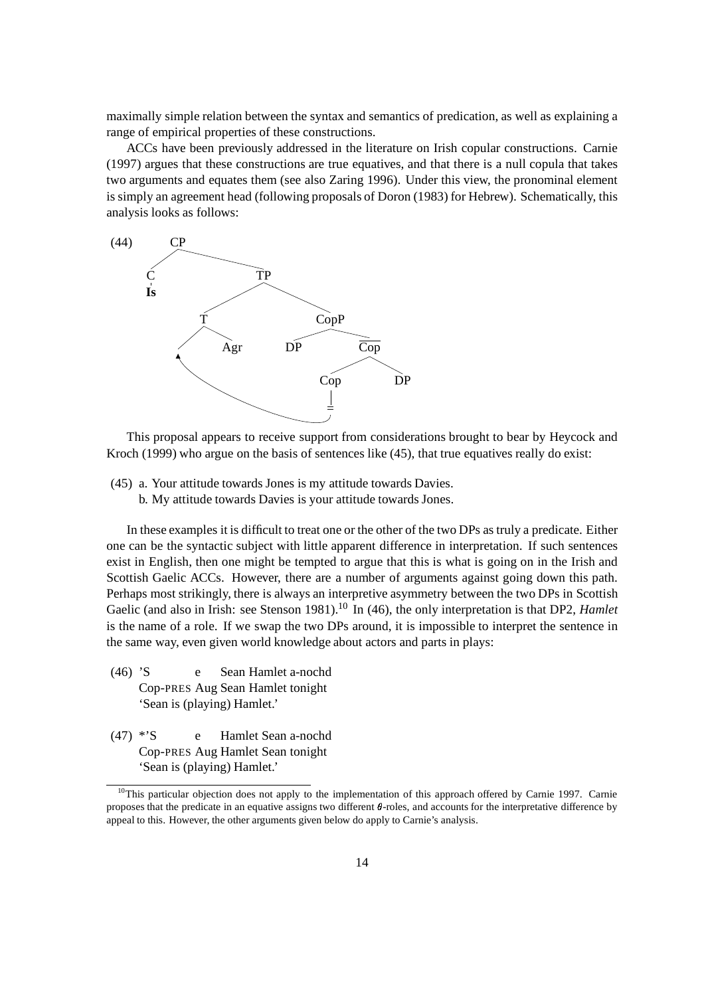maximally simple relation between the syntax and semantics of predication, as well as explaining a range of empirical properties of these constructions.

ACCs have been previously addressed in the literature on Irish copular constructions. Carnie (1997) argues that these constructions are true equatives, and that there is a null copula that takes two arguments and equates them (see also Zaring 1996). Under this view, the pronominal element is simply an agreement head (following proposals of Doron (1983) for Hebrew). Schematically, this analysis looks as follows:



This proposal appears to receive support from considerations brought to bear by Heycock and Kroch (1999) who argue on the basis of sentences like (45), that true equatives really do exist:

- (45) a. Your attitude towards Jones is my attitude towards Davies.
	- b. My attitude towards Davies is your attitude towards Jones.

In these examples it is difficult to treat one or the other of the two DPs astruly a predicate. Either one can be the syntactic subject with little apparent difference in interpretation. If such sentences exist in English, then one might be tempted to argue that this is what is going on in the Irish and Scottish Gaelic ACCs. However, there are a number of arguments against going down this path. Perhaps most strikingly, there is always an interpretive asymmetry between the two DPs in Scottish Gaelic (and also in Irish: see Stenson 1981).<sup>10</sup> In (46), the only interpretation is that DP2, *Hamlet* is the name of a role. If we swap the two DPs around, it is impossible to interpret the sentence in the same way, even given world knowledge about actors and parts in plays:

- (46) 'S e Sean Hamlet a-nochd Cop-PRES Aug Sean Hamlet tonight 'Sean is (playing) Hamlet.'
- (47) \*'S e Hamlet Sean a-nochd Cop-PRES Aug Hamlet Sean tonight 'Sean is (playing) Hamlet.'

 $10$ This particular objection does not apply to the implementation of this approach offered by Carnie 1997. Carnie proposes that the predicate in an equative assigns two different  $\theta$ -roles, and accounts for the interpretative difference by appeal to this. However, the other arguments given below do apply to Carnie's analysis.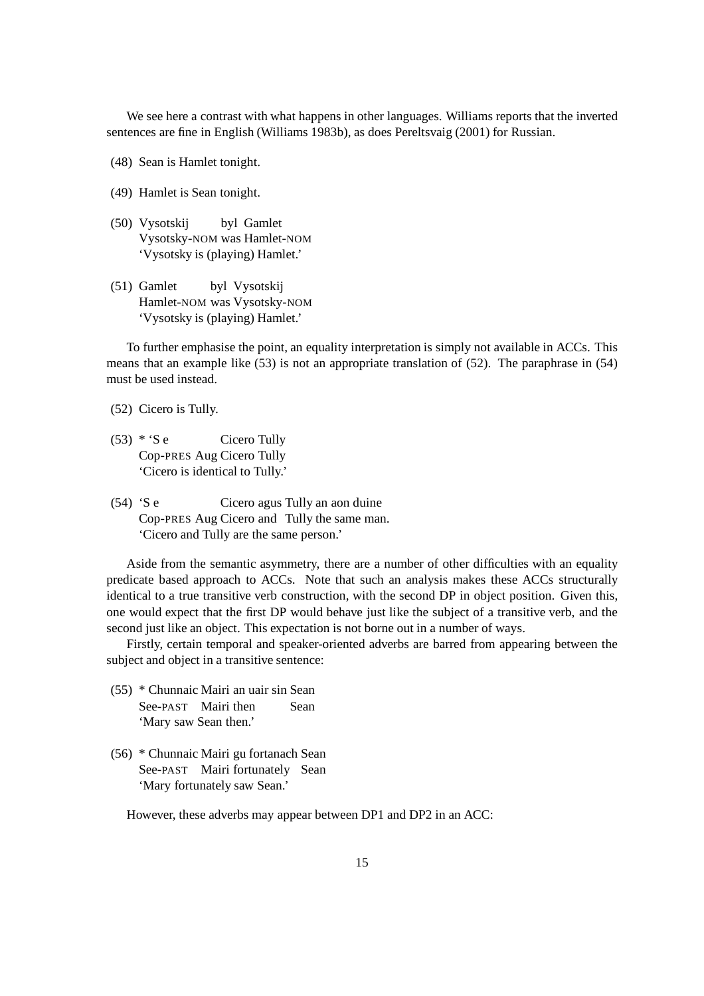We see here a contrast with what happens in other languages. Williams reports that the inverted sentences are fine in English (Williams 1983b), as does Pereltsvaig (2001) for Russian.

- (48) Sean is Hamlet tonight.
- (49) Hamlet is Sean tonight.
- (50) Vysotskij byl Gamlet Vysotsky-NOM was Hamlet-NOM 'Vysotsky is (playing) Hamlet.'
- (51) Gamlet byl Vysotskij Hamlet-NOM was Vysotsky-NOM 'Vysotsky is (playing) Hamlet.'

To further emphasise the point, an equality interpretation is simply not available in ACCs. This means that an example like (53) is not an appropriate translation of (52). The paraphrase in (54) must be used instead.

- (52) Cicero is Tully.
- $(53) * 'S e$  Cicero Tully Cop-PRES Aug Cicero Tully 'Cicero is identical to Tully.'
- (54) 'S e Cicero agus Tully an aon duine Cop-PRES Aug Cicero and Tully the same man. 'Cicero and Tully are the same person.'

Aside from the semantic asymmetry, there are a number of other difficulties with an equality predicate based approach to ACCs. Note that such an analysis makes these ACCs structurally identical to a true transitive verb construction, with the second DP in object position. Given this, one would expect that the first DP would behave just like the subject of a transitive verb, and the second just like an object. This expectation is not borne out in a number of ways.

Firstly, certain temporal and speaker-oriented adverbs are barred from appearing between the subject and object in a transitive sentence:

- (55) \* Chunnaic Mairi an uair sin Sean See-PAST Mairi then Sean 'Mary saw Sean then.'
- (56) \* Chunnaic Mairi gu fortanach Sean See-PAST Mairi fortunately Sean 'Mary fortunately saw Sean.'

However, these adverbs may appear between DP1 and DP2 in an ACC: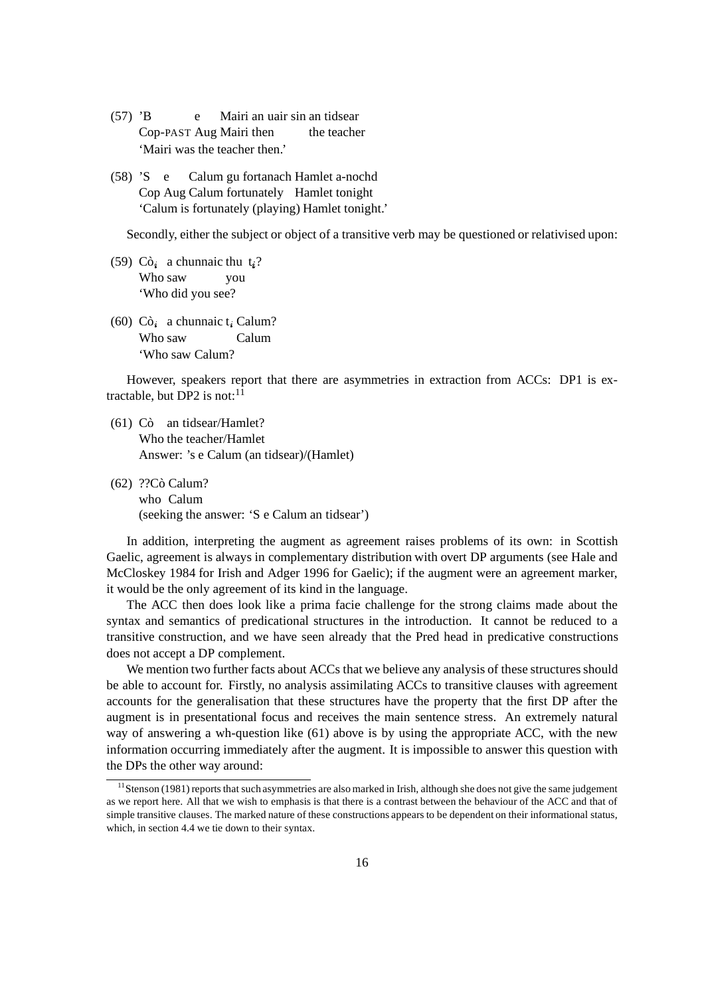- (57) 'B e Mairi an uair sin an tidsear Cop-PAST Aug Mairi then the teacher 'Mairi was the teacher then.'
- (58) 'S e Calum gu fortanach Hamlet a-nochd Cop Aug Calum fortunately Hamlet tonight 'Calum is fortunately (playing) Hamlet tonight.'

Secondly, either the subject or object of a transitive verb may be questioned or relativised upon:

- (59)  $C\hat{o}_i$  a chunnaic thu  $t_i$ ? Who saw you 'Who did you see?
- (60)  $C\delta_i$  a chunnaic t<sub>i</sub> Calum? Who saw Calum 'Who saw Calum?

However, speakers report that there are asymmetries in extraction from ACCs: DP1 is extractable, but DP2 is not: $^{11}$ 

- $(61)$  Cò an tidsear/Hamlet? Who the teacher/Hamlet Answer: 's e Calum (an tidsear)/(Hamlet)
- (62) ??Cò Calum? who Calum (seeking the answer: 'S e Calum an tidsear')

In addition, interpreting the augment as agreement raises problems of its own: in Scottish Gaelic, agreement is always in complementary distribution with overt DP arguments (see Hale and McCloskey 1984 for Irish and Adger 1996 for Gaelic); if the augment were an agreement marker, it would be the only agreement of its kind in the language.

The ACC then does look like a prima facie challenge for the strong claims made about the syntax and semantics of predicational structures in the introduction. It cannot be reduced to a transitive construction, and we have seen already that the Pred head in predicative constructions does not accept a DP complement.

We mention two further facts about ACCs that we believe any analysis of these structures should be able to account for. Firstly, no analysis assimilating ACCs to transitive clauses with agreement accounts for the generalisation that these structures have the property that the first DP after the augment is in presentational focus and receives the main sentence stress. An extremely natural way of answering a wh-question like (61) above is by using the appropriate ACC, with the new information occurring immediately after the augment. It is impossible to answer this question with the DPs the other way around:

<sup>&</sup>lt;sup>11</sup> Stenson (1981) reports that such asymmetries are also marked in Irish, although she does not give the same judgement as we report here. All that we wish to emphasis is that there is a contrast between the behaviour of the ACC and that of simple transitive clauses. The marked nature of these constructions appears to be dependent on their informational status, which, in section 4.4 we tie down to their syntax.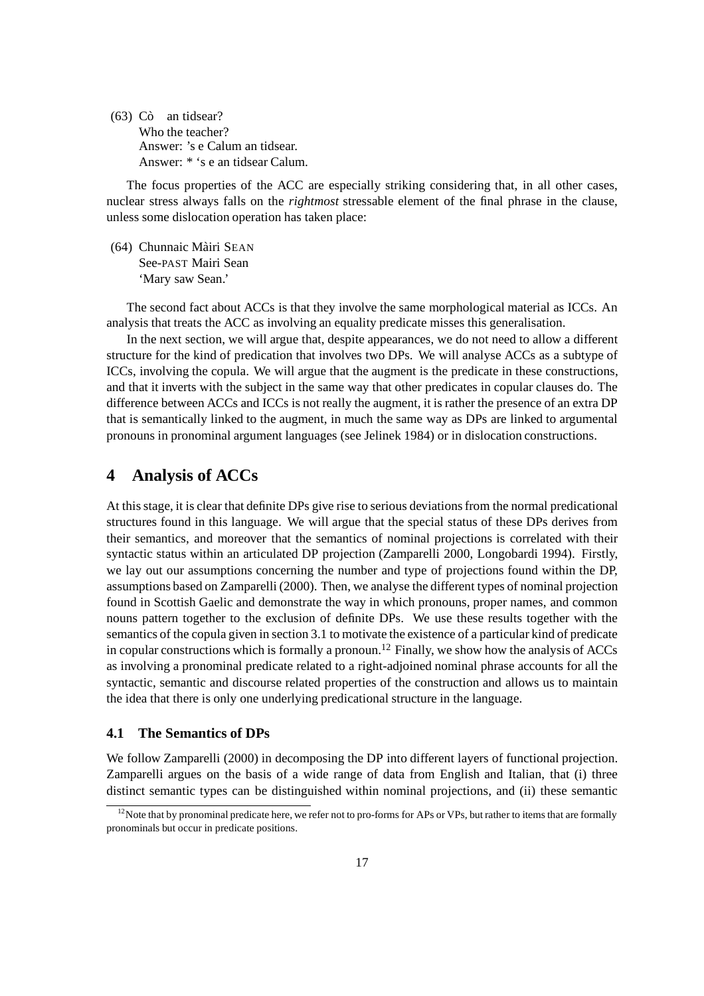$(63)$  Cò an tidsear? Who the teacher? Answer: 's e Calum an tidsear. Answer: \* 's e an tidsear Calum.

The focus properties of the ACC are especially striking considering that, in all other cases, nuclear stress always falls on the *rightmost* stressable element of the final phrase in the clause, unless some dislocation operation has taken place:

(64) Chunnaic Màiri SEAN See-PAST Mairi Sean 'Mary saw Sean.'

The second fact about ACCs is that they involve the same morphological material as ICCs. An analysis that treats the ACC as involving an equality predicate misses this generalisation.

In the next section, we will argue that, despite appearances, we do not need to allow a different structure for the kind of predication that involves two DPs. We will analyse ACCs as a subtype of ICCs, involving the copula. We will argue that the augment is the predicate in these constructions, and that it inverts with the subject in the same way that other predicates in copular clauses do. The difference between ACCs and ICCs is not really the augment, it israther the presence of an extra DP that is semantically linked to the augment, in much the same way as DPs are linked to argumental pronouns in pronominal argument languages (see Jelinek 1984) or in dislocation constructions.

## **4 Analysis of ACCs**

At thisstage, it is clear that definite DPs give rise to serious deviationsfrom the normal predicational structures found in this language. We will argue that the special status of these DPs derives from their semantics, and moreover that the semantics of nominal projections is correlated with their syntactic status within an articulated DP projection (Zamparelli 2000, Longobardi 1994). Firstly, we lay out our assumptions concerning the number and type of projections found within the DP, assumptions based on Zamparelli (2000). Then, we analyse the different types of nominal projection found in Scottish Gaelic and demonstrate the way in which pronouns, proper names, and common nouns pattern together to the exclusion of definite DPs. We use these results together with the semantics of the copula given in section 3.1 to motivate the existence of a particular kind of predicate in copular constructions which is formally a pronoun.<sup>12</sup> Finally, we show how the analysis of ACCs as involving a pronominal predicate related to a right-adjoined nominal phrase accounts for all the syntactic, semantic and discourse related properties of the construction and allows us to maintain the idea that there is only one underlying predicational structure in the language.

## **4.1 The Semantics of DPs**

We follow Zamparelli (2000) in decomposing the DP into different layers of functional projection. Zamparelli argues on the basis of a wide range of data from English and Italian, that (i) three distinct semantic types can be distinguished within nominal projections, and (ii) these semantic

 $12$ Note that by pronominal predicate here, we refer not to pro-forms for APs or VPs, but rather to items that are formally pronominals but occur in predicate positions.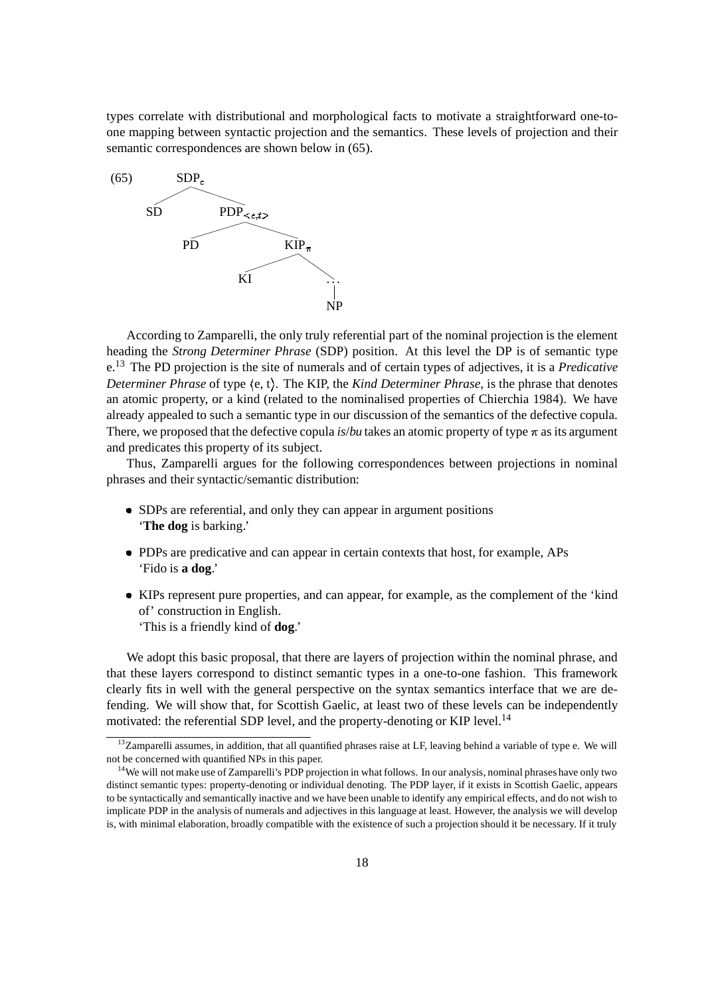types correlate with distributional and morphological facts to motivate a straightforward one-toone mapping between syntactic projection and the semantics. These levels of projection and their semantic correspondences are shown below in (65).



According to Zamparelli, the only truly referential part of the nominal projection is the element heading the *Strong Determiner Phrase* (SDP) position. At this level the DP is of semantic type e.<sup>13</sup> The PD projection is the site of numerals and of certain types of adjectives, it is a *Predicative Determiner Phrase* of type  $\langle e, t \rangle$ . The KIP, the *Kind Determiner Phrase*, is the phrase that denotes an atomic property, or a kind (related to the nominalised properties of Chierchia 1984). We have already appealed to such a semantic type in our discussion of the semantics of the defective copula. There, we proposed that the defective copula *is/bu* takes an atomic property of type  $\pi$  as its argument and predicates this property of its subject.

Thus, Zamparelli argues for the following correspondences between projections in nominal phrases and their syntactic/semantic distribution:

- SDPs are referential, and only they can appear in argument positions '**The dog** is barking.'
- PDPs are predicative and can appear in certain contexts that host, for example, APs 'Fido is **a dog**.'
- KIPs represent pure properties, and can appear, for example, as the complement of the 'kind of' construction in English. 'This is a friendly kind of **dog**.'

We adopt this basic proposal, that there are layers of projection within the nominal phrase, and that these layers correspond to distinct semantic types in a one-to-one fashion. This framework clearly fits in well with the general perspective on the syntax semantics interface that we are defending. We will show that, for Scottish Gaelic, at least two of these levels can be independently motivated: the referential SDP level, and the property-denoting or KIP level.<sup>14</sup>

 $13$ Zamparelli assumes, in addition, that all quantified phrases raise at LF, leaving behind a variable of type e. We will not be concerned with quantified NPs in this paper.

<sup>&</sup>lt;sup>14</sup>We will not make use of Zamparelli's PDP projection in what follows. In our analysis, nominal phrases have only two distinct semantic types: property-denoting or individual denoting. The PDP layer, if it exists in Scottish Gaelic, appears to be syntactically and semantically inactive and we have been unable to identify any empirical effects, and do not wish to implicate PDP in the analysis of numerals and adjectives in this language at least. However, the analysis we will develop is, with minimal elaboration, broadly compatible with the existence of such a projection should it be necessary. If it truly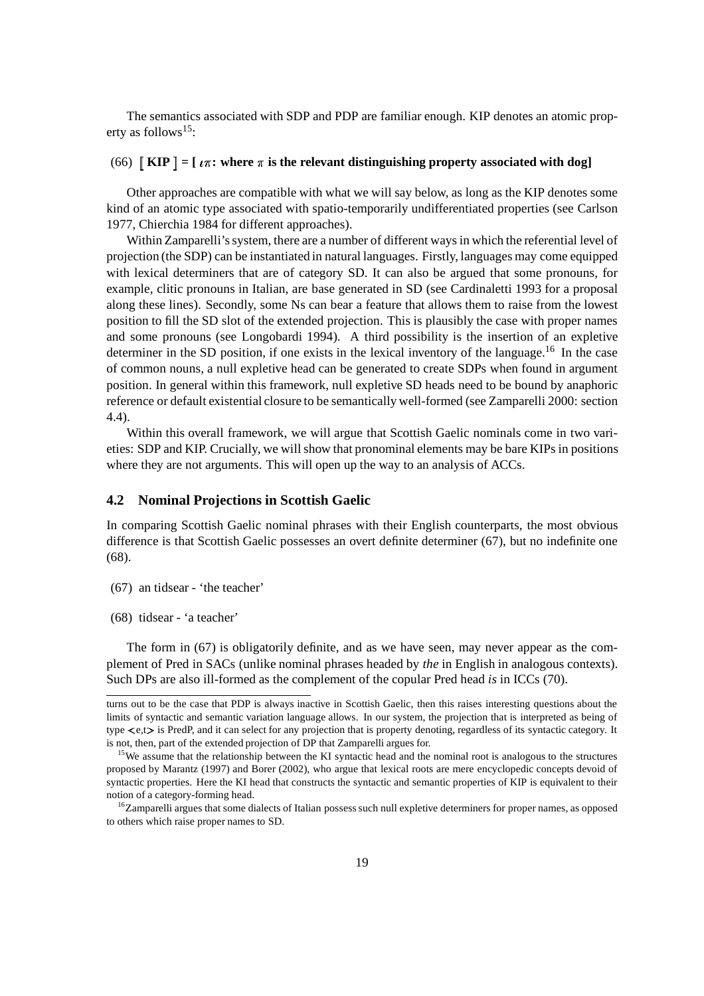The semantics associated with SDP and PDP are familiar enough. KIP denotes an atomic property as follows<sup>15</sup>:

## $(66)$  [KIP] = [ $\iota \pi$ ; where  $\pi$  is the relevant distinguishing property associated with dog]

Other approaches are compatible with what we will say below, as long as the KIP denotes some kind of an atomic type associated with spatio-temporarily undifferentiated properties (see Carlson 1977, Chierchia 1984 for different approaches).

Within Zamparelli's system, there are a number of different ways in which the referential level of projection (the SDP) can be instantiated in natural languages. Firstly, languages may come equipped with lexical determiners that are of category SD. It can also be argued that some pronouns, for example, clitic pronouns in Italian, are base generated in SD (see Cardinaletti 1993 for a proposal along these lines). Secondly, some Ns can bear a feature that allows them to raise from the lowest position to fill the SD slot of the extended projection. This is plausibly the case with proper names and some pronouns (see Longobardi 1994). A third possibility is the insertion of an expletive determiner in the SD position, if one exists in the lexical inventory of the language.<sup>16</sup> In the case of common nouns, a null expletive head can be generated to create SDPs when found in argument position. In general within this framework, null expletive SD heads need to be bound by anaphoric reference or default existential closure to be semantically well-formed (see Zamparelli 2000: section 4.4).

Within this overall framework, we will argue that Scottish Gaelic nominals come in two varieties: SDP and KIP. Crucially, we will show that pronominal elements may be bare KIPs in positions where they are not arguments. This will open up the way to an analysis of ACCs.

#### **4.2 Nominal Projections in Scottish Gaelic**

In comparing Scottish Gaelic nominal phrases with their English counterparts, the most obvious difference is that Scottish Gaelic possesses an overt definite determiner (67), but no indefinite one (68).

(67) an tidsear - 'the teacher'

(68) tidsear - 'a teacher'

The form in (67) is obligatorily definite, and as we have seen, may never appear as the complement of Pred in SACs (unlike nominal phrases headed by *the* in English in analogous contexts). Such DPs are also ill-formed as the complement of the copular Pred head *is* in ICCs (70).

turns out to be the case that PDP is always inactive in Scottish Gaelic, then this raises interesting questions about the limits of syntactic and semantic variation language allows. In our system, the projection that is interpreted as being of type  $\langle e,t\rangle$  is PredP, and it can select for any projection that is property denoting, regardless of its syntactic category. It is not, then, part of the extended projection of DP that Zamparelli argues for.

<sup>&</sup>lt;sup>15</sup>We assume that the relationship between the KI syntactic head and the nominal root is analogous to the structures proposed by Marantz (1997) and Borer (2002), who argue that lexical roots are mere encyclopedic concepts devoid of syntactic properties. Here the KI head that constructs the syntactic and semantic properties of KIP is equivalent to their notion of a category-forming head.

<sup>&</sup>lt;sup>16</sup>Zamparelli argues that some dialects of Italian possess such null expletive determiners for proper names, as opposed to others which raise proper names to SD.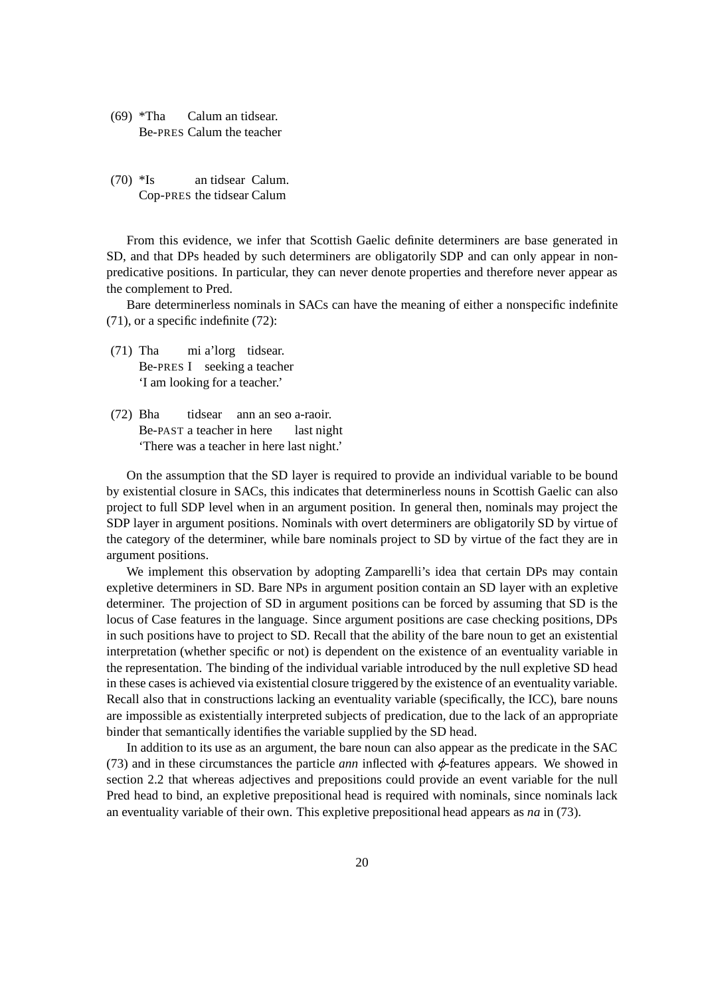- (69) \*Tha Calum an tidsear. Be-PRES Calum the teacher
- (70) \*Is an tidsear Calum. Cop-PRES the tidsear Calum

From this evidence, we infer that Scottish Gaelic definite determiners are base generated in SD, and that DPs headed by such determiners are obligatorily SDP and can only appear in nonpredicative positions. In particular, they can never denote properties and therefore never appear as the complement to Pred.

Bare determinerless nominals in SACs can have the meaning of either a nonspecific indefinite (71), or a specific indefinite (72):

- (71) Tha mi a'lorg tidsear. Be-PRES I seeking a teacher 'I am looking for a teacher.'
- (72) Bha tidsear ann an seo a-raoir. Be-PAST a teacher in here last night 'There was a teacher in here last night.'

On the assumption that the SD layer is required to provide an individual variable to be bound by existential closure in SACs, this indicates that determinerless nouns in Scottish Gaelic can also project to full SDP level when in an argument position. In general then, nominals may project the SDP layer in argument positions. Nominals with overt determiners are obligatorily SD by virtue of the category of the determiner, while bare nominals project to SD by virtue of the fact they are in argument positions.

We implement this observation by adopting Zamparelli's idea that certain DPs may contain expletive determiners in SD. Bare NPs in argument position contain an SD layer with an expletive determiner. The projection of SD in argument positions can be forced by assuming that SD is the locus of Case features in the language. Since argument positions are case checking positions, DPs in such positions have to project to SD. Recall that the ability of the bare noun to get an existential interpretation (whether specific or not) is dependent on the existence of an eventuality variable in the representation. The binding of the individual variable introduced by the null expletive SD head in these casesis achieved via existential closure triggered by the existence of an eventuality variable. Recall also that in constructions lacking an eventuality variable (specifically, the ICC), bare nouns are impossible as existentially interpreted subjects of predication, due to the lack of an appropriate binder that semantically identifies the variable supplied by the SD head.

In addition to its use as an argument, the bare noun can also appear as the predicate in the SAC (73) and in these circumstances the particle *ann* inflected with  $\phi$ -features appears. We showed in section 2.2 that whereas adjectives and prepositions could provide an event variable for the null Pred head to bind, an expletive prepositional head is required with nominals, since nominals lack an eventuality variable of their own. This expletive prepositional head appears as *na* in (73).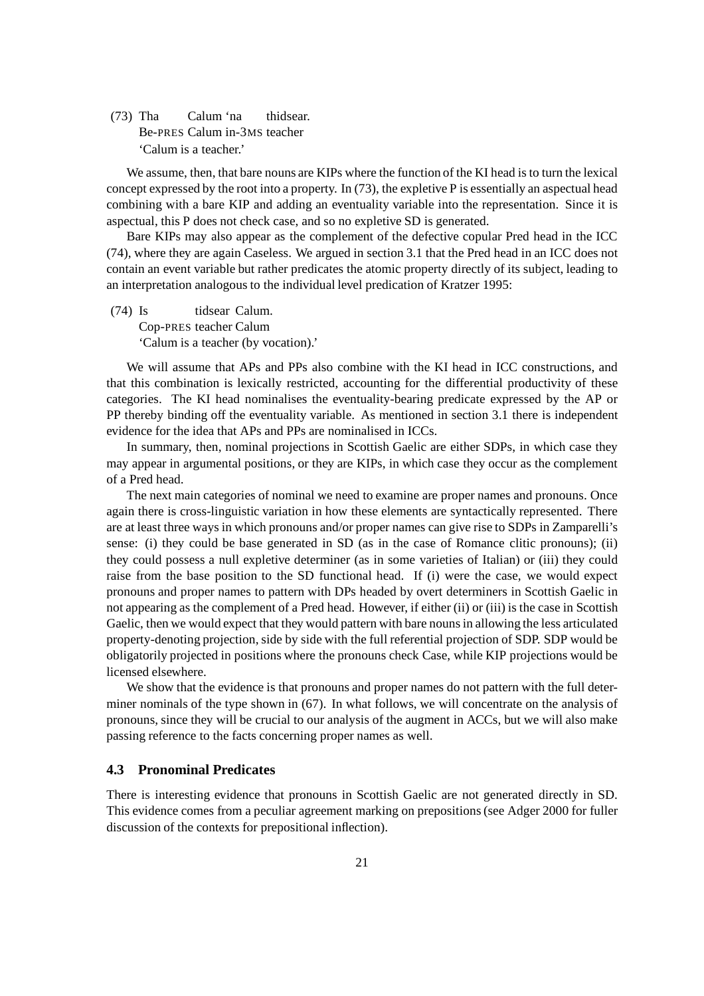(73) Tha Calum 'na thidsear. Be-PRES Calum in-3MS teacher 'Calum is a teacher.'

We assume, then, that bare nouns are KIPs where the function of the KI head is to turn the lexical concept expressed by the root into a property. In (73), the expletive P is essentially an aspectual head combining with a bare KIP and adding an eventuality variable into the representation. Since it is aspectual, this P does not check case, and so no expletive SD is generated.

Bare KIPs may also appear as the complement of the defective copular Pred head in the ICC (74), where they are again Caseless. We argued in section 3.1 that the Pred head in an ICC does not contain an event variable but rather predicates the atomic property directly of its subject, leading to an interpretation analogous to the individual level predication of Kratzer 1995:

(74) Is tidsear Calum. Cop-PRES teacher Calum 'Calum is a teacher (by vocation).'

We will assume that APs and PPs also combine with the KI head in ICC constructions, and that this combination is lexically restricted, accounting for the differential productivity of these categories. The KI head nominalises the eventuality-bearing predicate expressed by the AP or PP thereby binding off the eventuality variable. As mentioned in section 3.1 there is independent evidence for the idea that APs and PPs are nominalised in ICCs.

In summary, then, nominal projections in Scottish Gaelic are either SDPs, in which case they may appear in argumental positions, or they are KIPs, in which case they occur as the complement of a Pred head.

The next main categories of nominal we need to examine are proper names and pronouns. Once again there is cross-linguistic variation in how these elements are syntactically represented. There are at least three waysin which pronouns and/or proper names can give rise to SDPs in Zamparelli's sense: (i) they could be base generated in SD (as in the case of Romance clitic pronouns); (ii) they could possess a null expletive determiner (as in some varieties of Italian) or (iii) they could raise from the base position to the SD functional head. If (i) were the case, we would expect pronouns and proper names to pattern with DPs headed by overt determiners in Scottish Gaelic in not appearing as the complement of a Pred head. However, if either (ii) or (iii) isthe case in Scottish Gaelic, then we would expect that they would pattern with bare nounsin allowing the less articulated property-denoting projection,side by side with the full referential projection of SDP. SDP would be obligatorily projected in positions where the pronouns check Case, while KIP projections would be licensed elsewhere.

We show that the evidence is that pronouns and proper names do not pattern with the full determiner nominals of the type shown in (67). In what follows, we will concentrate on the analysis of pronouns, since they will be crucial to our analysis of the augment in ACCs, but we will also make passing reference to the facts concerning proper names as well.

## **4.3 Pronominal Predicates**

There is interesting evidence that pronouns in Scottish Gaelic are not generated directly in SD. This evidence comes from a peculiar agreement marking on prepositions(see Adger 2000 for fuller discussion of the contexts for prepositional inflection).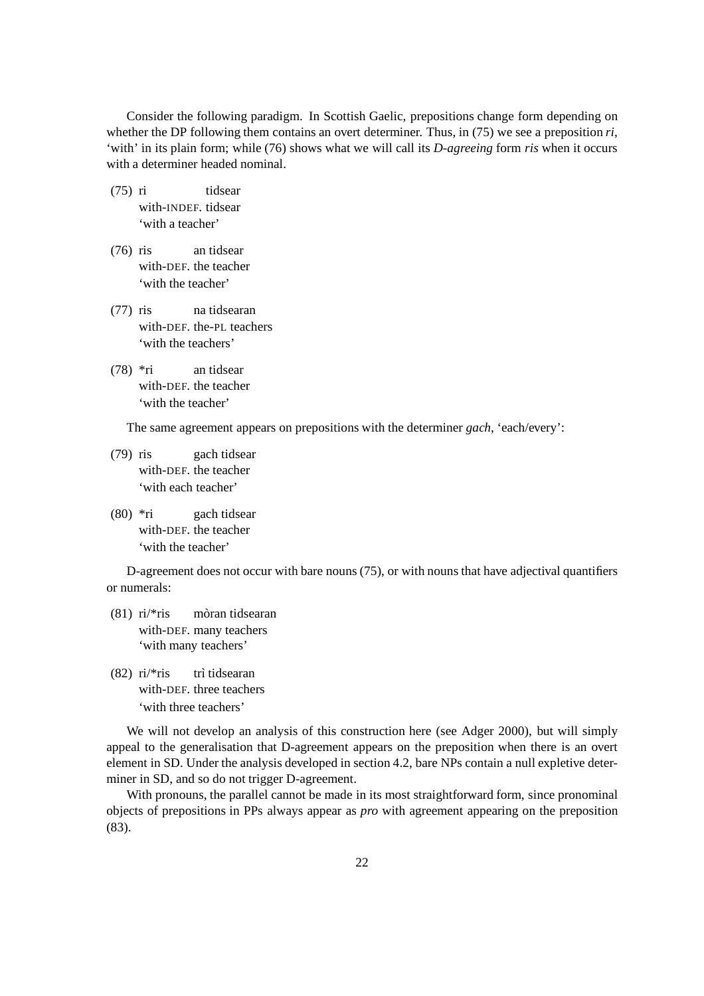Consider the following paradigm. In Scottish Gaelic, prepositions change form depending on whether the DP following them contains an overt determiner. Thus, in (75) we see a preposition *ri*, 'with' in its plain form; while (76) shows what we will call its *D-agreeing* form *ris* when it occurs with a determiner headed nominal.

- (75) ri tidsear with-INDEF. tidsear 'with a teacher'
- (76) ris an tidsear with-DEF. the teacher 'with the teacher'
- (77) ris na tidsearan with-DEF. the-PL teachers 'with the teachers'
- (78) \*ri an tidsear with-DEF. the teacher 'with the teacher'

The same agreement appears on prepositions with the determiner *gach*, 'each/every':

- (79) ris gach tidsear with-DEF. the teacher 'with each teacher'
- (80) \*ri gach tidsear with-DEF. the teacher 'with the teacher'

D-agreement does not occur with bare nouns (75), or with nouns that have adjectival quantifiers or numerals:

- $(81)$  ri/\*ris mòran tidsearan with-DEF. many teachers 'with many teachers'
- $(82)$  ri/\*ris trì tidsearan with-DEF. three teachers 'with three teachers'

We will not develop an analysis of this construction here (see Adger 2000), but will simply appeal to the generalisation that D-agreement appears on the preposition when there is an overt element in SD. Under the analysis developed in section 4.2, bare NPs contain a null expletive determiner in SD, and so do not trigger D-agreement.

With pronouns, the parallel cannot be made in its most straightforward form, since pronominal objects of prepositions in PPs always appear as *pro* with agreement appearing on the preposition (83).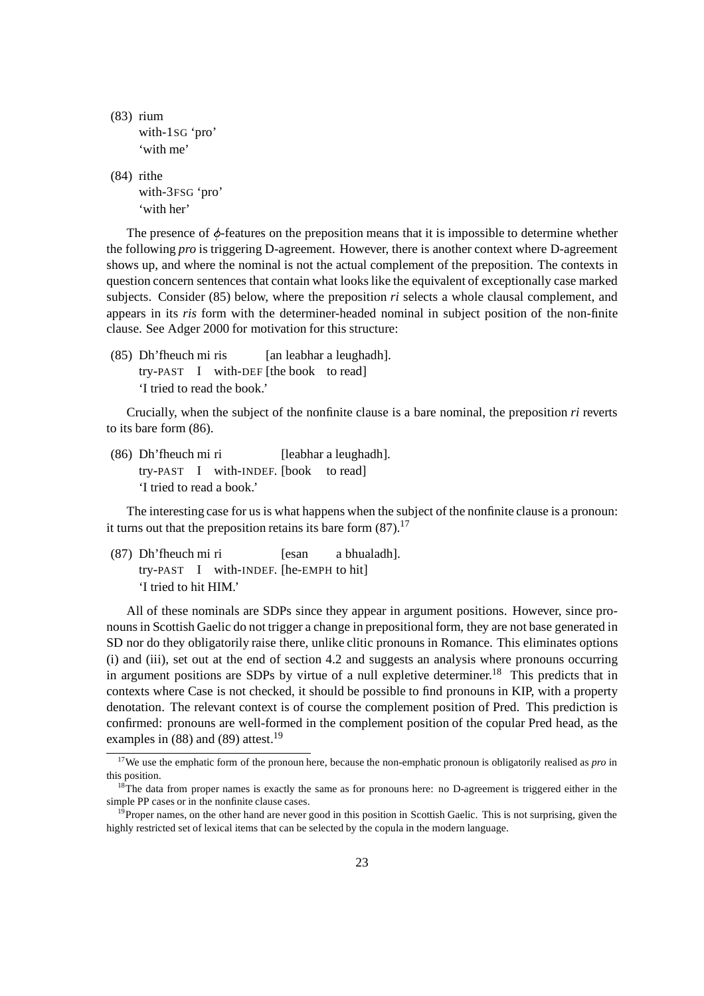```
(83) rium
with-1SG 'pro'
'with me'
```
(84) rithe with-3FSG 'pro' 'with her'

The presence of  $\phi$ -features on the preposition means that it is impossible to determine whether the following *pro* is triggering D-agreement. However, there is another context where D-agreement shows up, and where the nominal is not the actual complement of the preposition. The contexts in question concern sentences that contain what lookslike the equivalent of exceptionally case marked subjects. Consider (85) below, where the preposition *ri* selects a whole clausal complement, and appears in its *ris* form with the determiner-headed nominal in subject position of the non-finite clause. See Adger 2000 for motivation for this structure:

(85) Dh'fheuch mi ris [an leabhar a leughadh]. try-PAST I with-DEF [the book to read] 'I tried to read the book.'

Crucially, when the subject of the nonfinite clause is a bare nominal, the preposition *ri* reverts to its bare form (86).

(86) Dh'fheuch mi ri [leabhar a leughadh]. try-PAST I with-INDEF. [book to read] 'I tried to read a book.'

The interesting case for us is what happens when the subject of the nonfinite clause is a pronoun: it turns out that the preposition retains its bare form  $(87)$ .<sup>17</sup>

(87) Dh'fheuch mi ri [esan a bhualadh]. try-PAST I with-INDEF. [he-EMPH to hit] 'I tried to hit HIM.'

All of these nominals are SDPs since they appear in argument positions. However, since pronounsin Scottish Gaelic do not trigger a change in prepositionalform, they are not base generated in SD nor do they obligatorily raise there, unlike clitic pronouns in Romance. This eliminates options (i) and (iii), set out at the end of section 4.2 and suggests an analysis where pronouns occurring in argument positions are SDPs by virtue of a null expletive determiner.<sup>18</sup> This predicts that in contexts where Case is not checked, it should be possible to find pronouns in KIP, with a property denotation. The relevant context is of course the complement position of Pred. This prediction is confirmed: pronouns are well-formed in the complement position of the copular Pred head, as the examples in  $(88)$  and  $(89)$  attest.<sup>19</sup>

<sup>&</sup>lt;sup>17</sup>We use the emphatic form of the pronoun here, because the non-emphatic pronoun is obligatorily realised as *pro* in this position.

 $18$ <sup>The</sup> data from proper names is exactly the same as for pronouns here: no D-agreement is triggered either in the simple PP cases or in the nonfinite clause cases.

 $19$ Proper names, on the other hand are never good in this position in Scottish Gaelic. This is not surprising, given the highly restricted set of lexical items that can be selected by the copula in the modern language.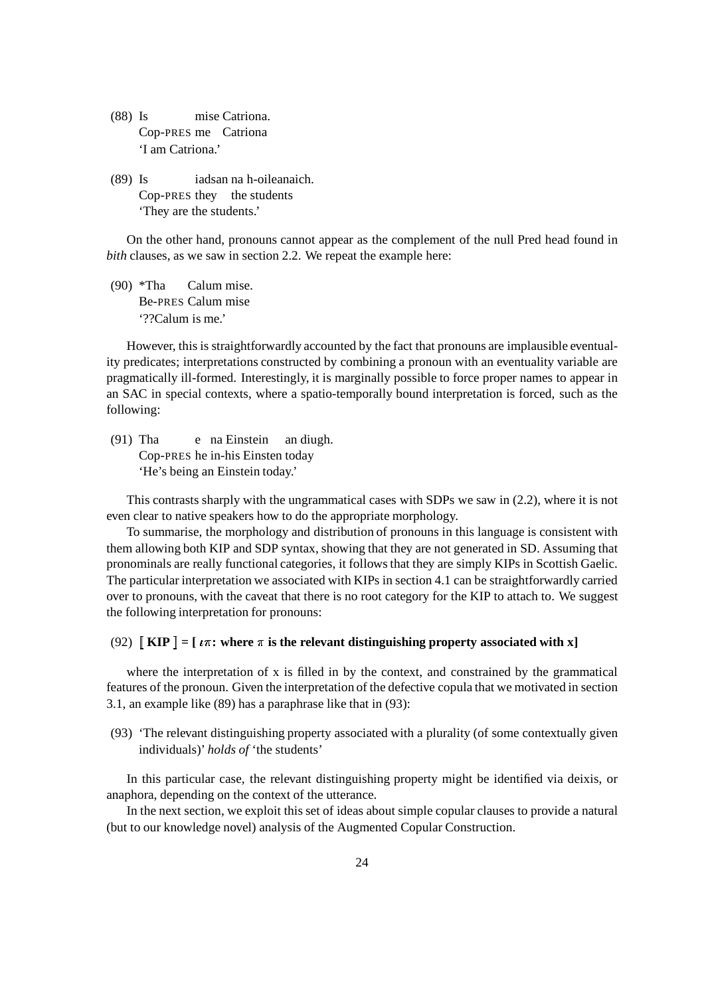- (88) Is mise Catriona. Cop-PRES me Catriona 'I am Catriona.'
- (89) Is iadsan na h-oileanaich. Cop-PRES they the students 'They are the students.'

On the other hand, pronouns cannot appear as the complement of the null Pred head found in *bith* clauses, as we saw in section 2.2. We repeat the example here:

(90) \*Tha Calum mise. Be-PRES Calum mise '??Calum is me.'

However, this is straightforwardly accounted by the fact that pronouns are implausible eventuality predicates; interpretations constructed by combining a pronoun with an eventuality variable are pragmatically ill-formed. Interestingly, it is marginally possible to force proper names to appear in an SAC in special contexts, where a spatio-temporally bound interpretation is forced, such as the following:

(91) Tha e na Einstein an diugh. Cop-PRES he in-his Einsten today 'He's being an Einstein today.'

This contrasts sharply with the ungrammatical cases with SDPs we saw in (2.2), where it is not even clear to native speakers how to do the appropriate morphology.

To summarise, the morphology and distribution of pronouns in this language is consistent with them allowing both KIP and SDP syntax, showing that they are not generated in SD. Assuming that pronominals are really functional categories, it followsthat they are simply KIPs in Scottish Gaelic. The particular interpretation we associated with KIPs in section 4.1 can be straightforwardly carried over to pronouns, with the caveat that there is no root category for the KIP to attach to. We suggest the following interpretation for pronouns:

## (92)  $\left[ \text{ KIP} \right] = \left[ \text{ } \iota \pi \text{ : where } \pi \text{ is the relevant distinguishing property associated with } x \right]$

where the interpretation of x is filled in by the context, and constrained by the grammatical features of the pronoun. Given the interpretation of the defective copula that we motivated in section 3.1, an example like (89) has a paraphrase like that in (93):

(93) 'The relevant distinguishing property associated with a plurality (of some contextually given individuals)' *holds of* 'the students'

In this particular case, the relevant distinguishing property might be identified via deixis, or anaphora, depending on the context of the utterance.

In the next section, we exploit this set of ideas about simple copular clauses to provide a natural (but to our knowledge novel) analysis of the Augmented Copular Construction.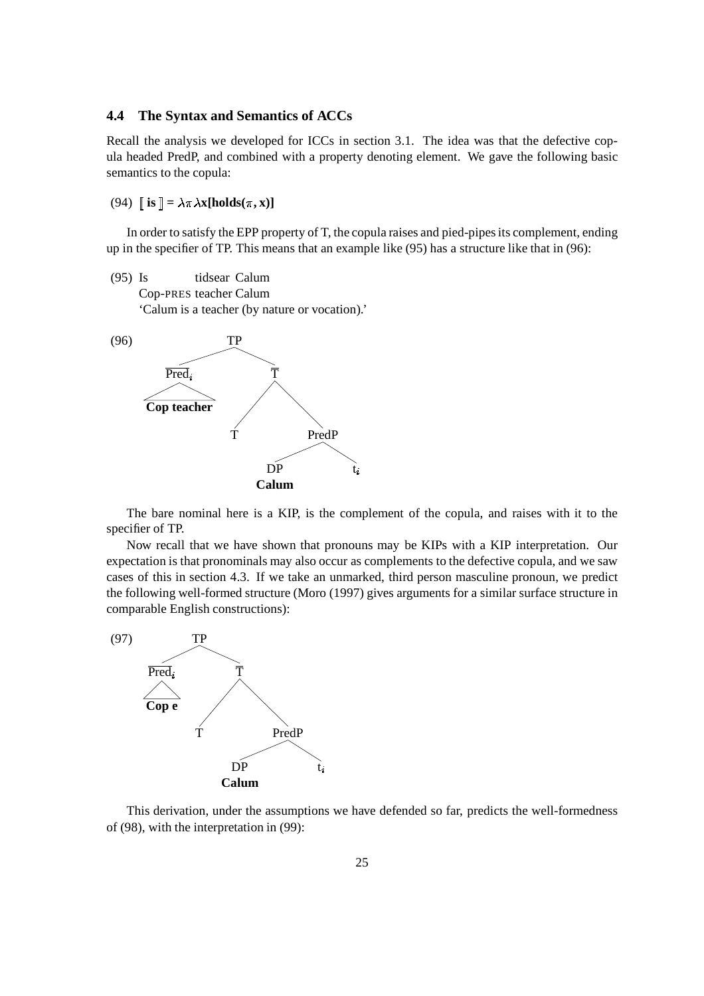#### **4.4 The Syntax and Semantics of ACCs**

Recall the analysis we developed for ICCs in section 3.1. The idea was that the defective copula headed PredP, and combined with a property denoting element. We gave the following basic semantics to the copula:

 $(94)$   $\mathbf{is}$   $\mathbf{a} = \lambda \pi \lambda \mathbf{x}$ [holds( $\pi$ , x)]

In order to satisfy the EPP property of T, the copula raises and pied-pipesits complement, ending up in the specifier of TP. This means that an example like (95) has a structure like that in (96):

(95) Is tidsear Calum Cop-PRES teacher Calum 'Calum is a teacher (by nature or vocation).'



The bare nominal here is a KIP, is the complement of the copula, and raises with it to the specifier of TP.

Now recall that we have shown that pronouns may be KIPs with a KIP interpretation. Our expectation is that pronominals may also occur as complements to the defective copula, and we saw cases of this in section 4.3. If we take an unmarked, third person masculine pronoun, we predict the following well-formed structure (Moro (1997) gives arguments for a similar surface structure in comparable English constructions):



This derivation, under the assumptions we have defended so far, predicts the well-formedness of (98), with the interpretation in (99):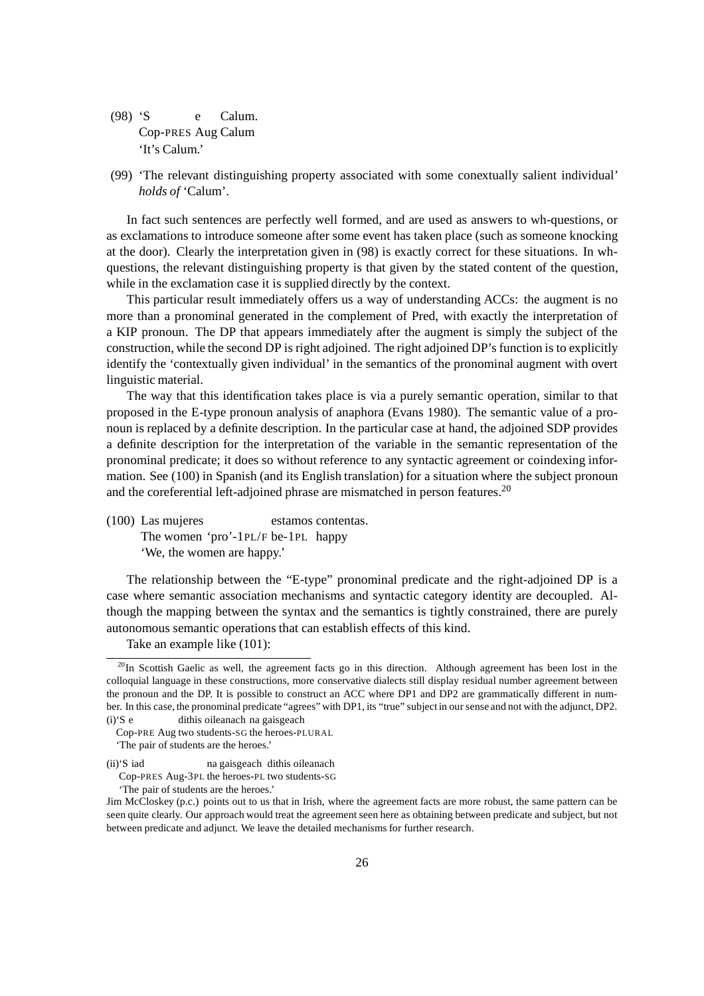- (98) 'S e Calum. Cop-PRES Aug Calum 'It's Calum.'
- (99) 'The relevant distinguishing property associated with some conextually salient individual' *holds of* 'Calum'.

In fact such sentences are perfectly well formed, and are used as answers to wh-questions, or as exclamations to introduce someone after some event has taken place (such as someone knocking at the door). Clearly the interpretation given in (98) is exactly correct for these situations. In whquestions, the relevant distinguishing property is that given by the stated content of the question, while in the exclamation case it is supplied directly by the context.

This particular result immediately offers us a way of understanding ACCs: the augment is no more than a pronominal generated in the complement of Pred, with exactly the interpretation of a KIP pronoun. The DP that appears immediately after the augment is simply the subject of the construction, while the second DP is right adjoined. The right adjoined DP's function is to explicitly identify the 'contextually given individual' in the semantics of the pronominal augment with overt linguistic material.

The way that this identification takes place is via a purely semantic operation, similar to that proposed in the E-type pronoun analysis of anaphora (Evans 1980). The semantic value of a pronoun is replaced by a definite description. In the particular case at hand, the adjoined SDP provides a definite description for the interpretation of the variable in the semantic representation of the pronominal predicate; it does so without reference to any syntactic agreement or coindexing information. See (100) in Spanish (and its English translation) for a situation where the subject pronoun and the coreferential left-adjoined phrase are mismatched in person features.<sup>20</sup>

(100) Las mujeres estamos contentas. The women 'pro'-1PL/F be-1PL happy 'We, the women are happy.'

The relationship between the "E-type" pronominal predicate and the right-adjoined DP is a case where semantic association mechanisms and syntactic category identity are decoupled. Although the mapping between the syntax and the semantics is tightly constrained, there are purely autonomous semantic operationsthat can establish effects of this kind.

Take an example like (101):

'The pair of students are the heroes.'

 $^{20}$ In Scottish Gaelic as well, the agreement facts go in this direction. Although agreement has been lost in the colloquial language in these constructions, more conservative dialects still display residual number agreement between the pronoun and the DP. It is possible to construct an ACC where DP1 and DP2 are grammatically different in number. In this case, the pronominal predicate "agrees"with DP1, its "true" subject in our sense and not with the adjunct, DP2. (i)'S e dithis oileanach na gaisgeach

Cop-PRE Aug two students-SG the heroes-PLURAL

<sup>&#</sup>x27;The pair of students are the heroes.'

<sup>(</sup>ii)'S iad na gaisgeach dithis oileanach

Cop-PRES Aug-3PL the heroes-PL two students-SG

Jim McCloskey (p.c.) points out to us that in Irish, where the agreement facts are more robust, the same pattern can be seen quite clearly. Our approach would treat the agreement seen here as obtaining between predicate and subject, but not between predicate and adjunct. We leave the detailed mechanisms for further research.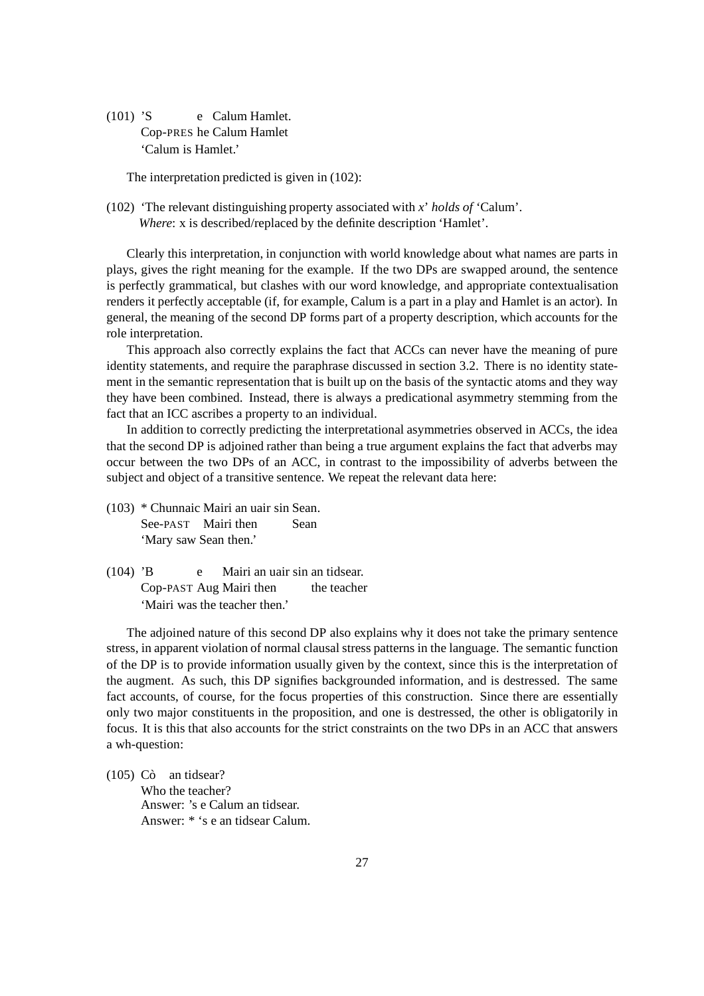(101) 'S e Calum Hamlet. Cop-PRES he Calum Hamlet 'Calum is Hamlet.'

The interpretation predicted is given in (102):

(102) 'The relevant distinguishing property associated with *x*' *holds of* 'Calum'. *Where*: x is described/replaced by the definite description 'Hamlet'.

Clearly this interpretation, in conjunction with world knowledge about what names are parts in plays, gives the right meaning for the example. If the two DPs are swapped around, the sentence is perfectly grammatical, but clashes with our word knowledge, and appropriate contextualisation renders it perfectly acceptable (if, for example, Calum is a part in a play and Hamlet is an actor). In general, the meaning of the second DP forms part of a property description, which accounts for the role interpretation.

This approach also correctly explains the fact that ACCs can never have the meaning of pure identity statements, and require the paraphrase discussed in section 3.2. There is no identity statement in the semantic representation that is built up on the basis of the syntactic atoms and they way they have been combined. Instead, there is always a predicational asymmetry stemming from the fact that an ICC ascribes a property to an individual.

In addition to correctly predicting the interpretational asymmetries observed in ACCs, the idea that the second DP is adjoined rather than being a true argument explains the fact that adverbs may occur between the two DPs of an ACC, in contrast to the impossibility of adverbs between the subject and object of a transitive sentence. We repeat the relevant data here:

- (103) \* Chunnaic Mairi an uair sin Sean. See-PAST Mairi then Sean 'Mary saw Sean then.'
- (104) 'B e Mairi an uair sin an tidsear. Cop-PAST Aug Mairi then the teacher 'Mairi was the teacher then.'

The adjoined nature of this second DP also explains why it does not take the primary sentence stress, in apparent violation of normal clausal stress patterns in the language. The semantic function of the DP is to provide information usually given by the context, since this is the interpretation of the augment. As such, this DP signifies backgrounded information, and is destressed. The same fact accounts, of course, for the focus properties of this construction. Since there are essentially only two major constituents in the proposition, and one is destressed, the other is obligatorily in focus. It is this that also accounts for the strict constraints on the two DPs in an ACC that answers a wh-question:

 $(105)$  Cò an tidsear?

Who the teacher? Answer: 's e Calum an tidsear. Answer: \* 's e an tidsear Calum.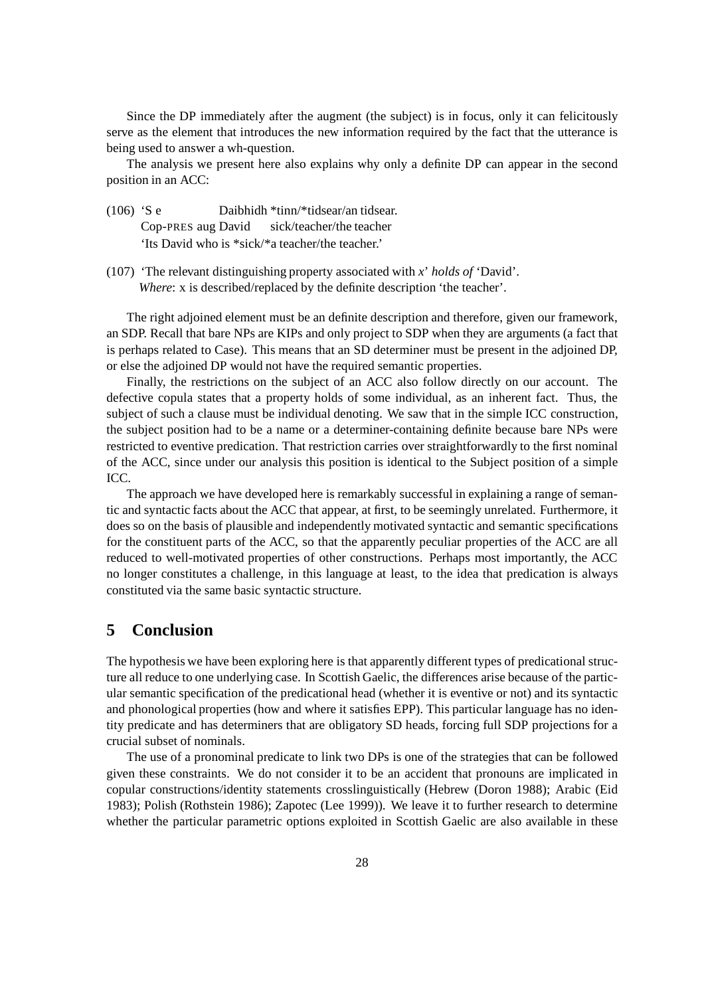Since the DP immediately after the augment (the subject) is in focus, only it can felicitously serve as the element that introduces the new information required by the fact that the utterance is being used to answer a wh-question.

The analysis we present here also explains why only a definite DP can appear in the second position in an ACC:

- (106) 'S e Daibhidh \*tinn/\*tidsear/an tidsear. Cop-PRES aug David sick/teacher/the teacher 'Its David who is \*sick/\*a teacher/the teacher.'
- (107) 'The relevant distinguishing property associated with *x*' *holds of* 'David'. *Where*: x is described/replaced by the definite description 'the teacher'.

The right adjoined element must be an definite description and therefore, given our framework, an SDP. Recall that bare NPs are KIPs and only project to SDP when they are arguments (a fact that is perhaps related to Case). This means that an SD determiner must be present in the adjoined DP, or else the adjoined DP would not have the required semantic properties.

Finally, the restrictions on the subject of an ACC also follow directly on our account. The defective copula states that a property holds of some individual, as an inherent fact. Thus, the subject of such a clause must be individual denoting. We saw that in the simple ICC construction, the subject position had to be a name or a determiner-containing definite because bare NPs were restricted to eventive predication. That restriction carries over straightforwardly to the first nominal of the ACC, since under our analysis this position is identical to the Subject position of a simple ICC.

The approach we have developed here is remarkably successful in explaining a range of semantic and syntactic facts about the ACC that appear, at first, to be seemingly unrelated. Furthermore, it does so on the basis of plausible and independently motivated syntactic and semantic specifications for the constituent parts of the ACC, so that the apparently peculiar properties of the ACC are all reduced to well-motivated properties of other constructions. Perhaps most importantly, the ACC no longer constitutes a challenge, in this language at least, to the idea that predication is always constituted via the same basic syntactic structure.

## **5 Conclusion**

The hypothesis we have been exploring here is that apparently different types of predicational structure all reduce to one underlying case. In Scottish Gaelic, the differences arise because of the particular semantic specification of the predicational head (whether it is eventive or not) and its syntactic and phonological properties (how and where it satisfies EPP). This particular language has no identity predicate and has determiners that are obligatory SD heads, forcing full SDP projections for a crucial subset of nominals.

The use of a pronominal predicate to link two DPs is one of the strategies that can be followed given these constraints. We do not consider it to be an accident that pronouns are implicated in copular constructions/identity statements crosslinguistically (Hebrew (Doron 1988); Arabic (Eid 1983); Polish (Rothstein 1986); Zapotec (Lee 1999)). We leave it to further research to determine whether the particular parametric options exploited in Scottish Gaelic are also available in these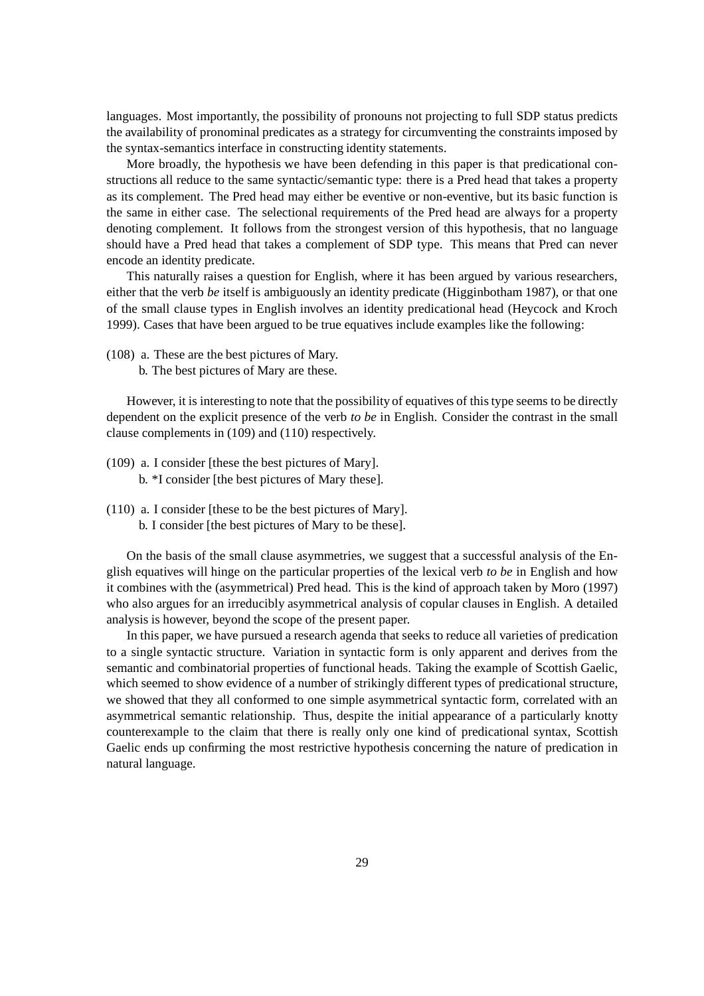languages. Most importantly, the possibility of pronouns not projecting to full SDP status predicts the availability of pronominal predicates as a strategy for circumventing the constraintsimposed by the syntax-semantics interface in constructing identity statements.

More broadly, the hypothesis we have been defending in this paper is that predicational constructions all reduce to the same syntactic/semantic type: there is a Pred head that takes a property as its complement. The Pred head may either be eventive or non-eventive, but its basic function is the same in either case. The selectional requirements of the Pred head are always for a property denoting complement. It follows from the strongest version of this hypothesis, that no language should have a Pred head that takes a complement of SDP type. This means that Pred can never encode an identity predicate.

This naturally raises a question for English, where it has been argued by various researchers, either that the verb *be* itself is ambiguously an identity predicate (Higginbotham 1987), or that one of the small clause types in English involves an identity predicational head (Heycock and Kroch 1999). Cases that have been argued to be true equatives include examples like the following:

- (108) a. These are the best pictures of Mary.
	- b. The best pictures of Mary are these.

However, it is interesting to note that the possibility of equatives of this type seems to be directly dependent on the explicit presence of the verb *to be* in English. Consider the contrast in the small clause complements in (109) and (110) respectively.

- (109) a. I consider [these the best pictures of Mary]. b. \*I consider [the best pictures of Mary these].
- (110) a. I consider [these to be the best pictures of Mary]. b. I consider [the best pictures of Mary to be these].

On the basis of the small clause asymmetries, we suggest that a successful analysis of the English equatives will hinge on the particular properties of the lexical verb *to be* in English and how it combines with the (asymmetrical) Pred head. This is the kind of approach taken by Moro (1997) who also argues for an irreducibly asymmetrical analysis of copular clauses in English. A detailed analysis is however, beyond the scope of the present paper.

In this paper, we have pursued a research agenda that seeks to reduce all varieties of predication to a single syntactic structure. Variation in syntactic form is only apparent and derives from the semantic and combinatorial properties of functional heads. Taking the example of Scottish Gaelic, which seemed to show evidence of a number of strikingly different types of predicational structure, we showed that they all conformed to one simple asymmetrical syntactic form, correlated with an asymmetrical semantic relationship. Thus, despite the initial appearance of a particularly knotty counterexample to the claim that there is really only one kind of predicational syntax, Scottish Gaelic ends up confirming the most restrictive hypothesis concerning the nature of predication in natural language.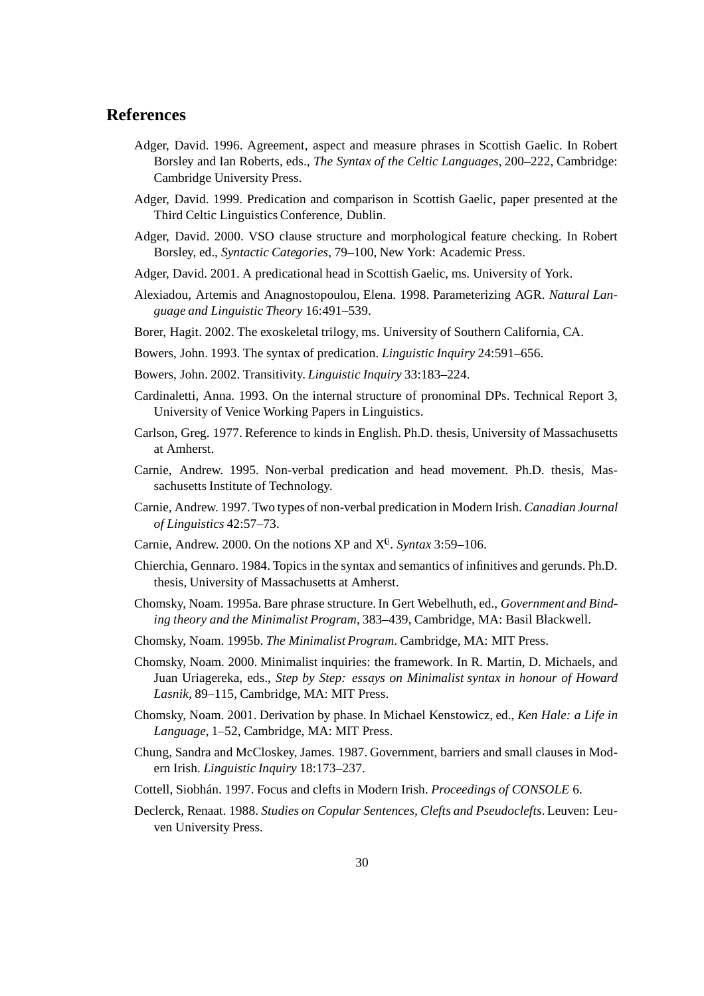## **References**

- Adger, David. 1996. Agreement, aspect and measure phrases in Scottish Gaelic. In Robert Borsley and Ian Roberts, eds., *The Syntax of the Celtic Languages*, 200–222, Cambridge: Cambridge University Press.
- Adger, David. 1999. Predication and comparison in Scottish Gaelic, paper presented at the Third Celtic Linguistics Conference, Dublin.
- Adger, David. 2000. VSO clause structure and morphological feature checking. In Robert Borsley, ed., *Syntactic Categories*, 79–100, New York: Academic Press.
- Adger, David. 2001. A predicational head in Scottish Gaelic, ms. University of York.
- Alexiadou, Artemis and Anagnostopoulou, Elena. 1998. Parameterizing AGR. *Natural Language and Linguistic Theory* 16:491–539.
- Borer, Hagit. 2002. The exoskeletal trilogy, ms. University of Southern California, CA.
- Bowers, John. 1993. The syntax of predication. *Linguistic Inquiry* 24:591–656.
- Bowers, John. 2002. Transitivity. *Linguistic Inquiry* 33:183–224.
- Cardinaletti, Anna. 1993. On the internal structure of pronominal DPs. Technical Report 3, University of Venice Working Papers in Linguistics.
- Carlson, Greg. 1977. Reference to kindsin English. Ph.D. thesis, University of Massachusetts at Amherst.
- Carnie, Andrew. 1995. Non-verbal predication and head movement. Ph.D. thesis, Massachusetts Institute of Technology.
- Carnie, Andrew. 1997. Two types of non-verbal predication in Modern Irish. *Canadian Journal of Linguistics* 42:57–73.
- Carnie, Andrew. 2000. On the notions XP and X<sup>0</sup>. *Syntax* 3:59–106.
- Chierchia, Gennaro. 1984. Topicsin the syntax and semantics of infinitives and gerunds. Ph.D. thesis, University of Massachusetts at Amherst.
- Chomsky, Noam. 1995a. Bare phrase structure. In Gert Webelhuth, ed., *Government and Binding theory and the Minimalist Program*, 383–439, Cambridge, MA: Basil Blackwell.
- Chomsky, Noam. 1995b. *The Minimalist Program*. Cambridge, MA: MIT Press.
- Chomsky, Noam. 2000. Minimalist inquiries: the framework. In R. Martin, D. Michaels, and Juan Uriagereka, eds., *Step by Step: essays on Minimalist syntax in honour of Howard Lasnik*, 89–115, Cambridge, MA: MIT Press.
- Chomsky, Noam. 2001. Derivation by phase. In Michael Kenstowicz, ed., *Ken Hale: a Life in Language*, 1–52, Cambridge, MA: MIT Press.
- Chung, Sandra and McCloskey, James. 1987. Government, barriers and small clauses in Modern Irish. *Linguistic Inquiry* 18:173–237.
- Cottell, Siobhan. ´ 1997. Focus and clefts in Modern Irish. *Proceedings of CONSOLE* 6.
- Declerck, Renaat. 1988. *Studies on Copular Sentences, Clefts and Pseudoclefts*. Leuven: Leuven University Press.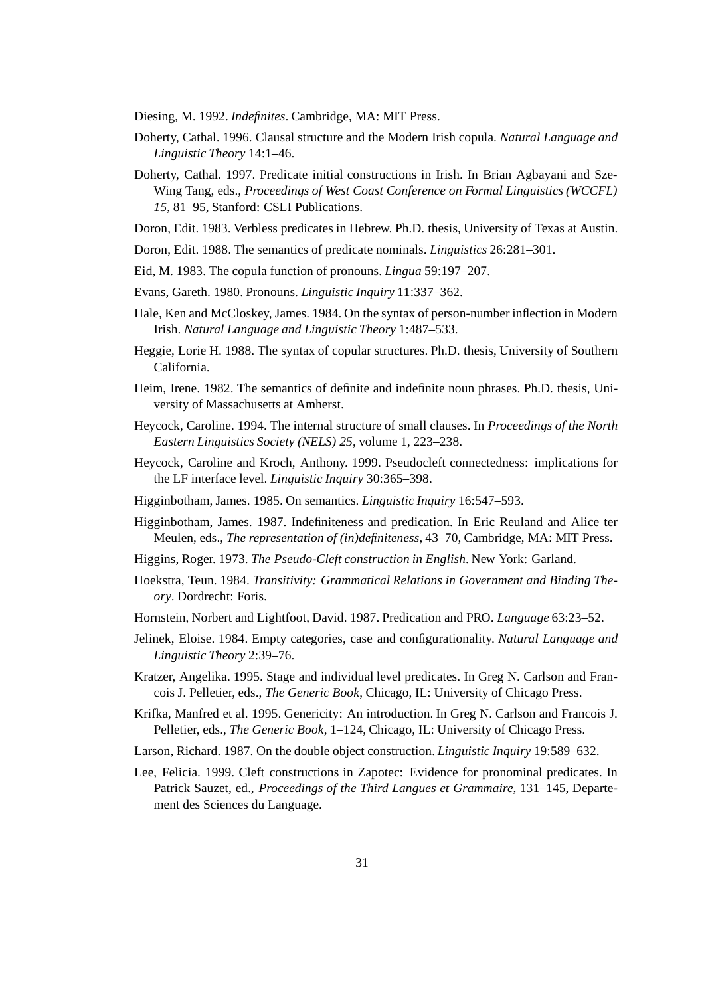Diesing, M. 1992. *Indefinites*. Cambridge, MA: MIT Press.

- Doherty, Cathal. 1996. Clausal structure and the Modern Irish copula. *Natural Language and Linguistic Theory* 14:1–46.
- Doherty, Cathal. 1997. Predicate initial constructions in Irish. In Brian Agbayani and Sze-Wing Tang, eds., *Proceedings of West Coast Conference on Formal Linguistics(WCCFL) 15*, 81–95, Stanford: CSLI Publications.
- Doron, Edit. 1983. Verbless predicates in Hebrew. Ph.D. thesis, University of Texas at Austin.
- Doron, Edit. 1988. The semantics of predicate nominals. *Linguistics* 26:281–301.
- Eid, M. 1983. The copula function of pronouns. *Lingua* 59:197–207.
- Evans, Gareth. 1980. Pronouns. *Linguistic Inquiry* 11:337–362.
- Hale, Ken and McCloskey, James. 1984. On the syntax of person-number inflection in Modern Irish. *Natural Language and Linguistic Theory* 1:487–533.
- Heggie, Lorie H. 1988. The syntax of copular structures. Ph.D. thesis, University of Southern California.
- Heim, Irene. 1982. The semantics of definite and indefinite noun phrases. Ph.D. thesis, University of Massachusetts at Amherst.
- Heycock, Caroline. 1994. The internal structure of small clauses. In *Proceedings of the North Eastern Linguistics Society (NELS) 25*, volume 1, 223–238.
- Heycock, Caroline and Kroch, Anthony. 1999. Pseudocleft connectedness: implications for the LF interface level. *Linguistic Inquiry* 30:365–398.
- Higginbotham, James. 1985. On semantics. *Linguistic Inquiry* 16:547–593.
- Higginbotham, James. 1987. Indefiniteness and predication. In Eric Reuland and Alice ter Meulen, eds., *The representation of (in)definiteness*, 43–70, Cambridge, MA: MIT Press.
- Higgins, Roger. 1973. *The Pseudo-Cleft construction in English*. New York: Garland.
- Hoekstra, Teun. 1984. *Transitivity: Grammatical Relations in Government and Binding Theory*. Dordrecht: Foris.
- Hornstein, Norbert and Lightfoot, David. 1987. Predication and PRO. *Language* 63:23–52.
- Jelinek, Eloise. 1984. Empty categories, case and configurationality. *Natural Language and Linguistic Theory* 2:39–76.
- Kratzer, Angelika. 1995. Stage and individual level predicates. In Greg N. Carlson and Francois J. Pelletier, eds., *The Generic Book*, Chicago, IL: University of Chicago Press.
- Krifka, Manfred et al. 1995. Genericity: An introduction. In Greg N. Carlson and Francois J. Pelletier, eds., *The Generic Book*, 1–124, Chicago, IL: University of Chicago Press.
- Larson, Richard. 1987. On the double object construction. *Linguistic Inquiry* 19:589–632.
- Lee, Felicia. 1999. Cleft constructions in Zapotec: Evidence for pronominal predicates. In Patrick Sauzet, ed., *Proceedings of the Third Langues et Grammaire*, 131–145, Departement des Sciences du Language.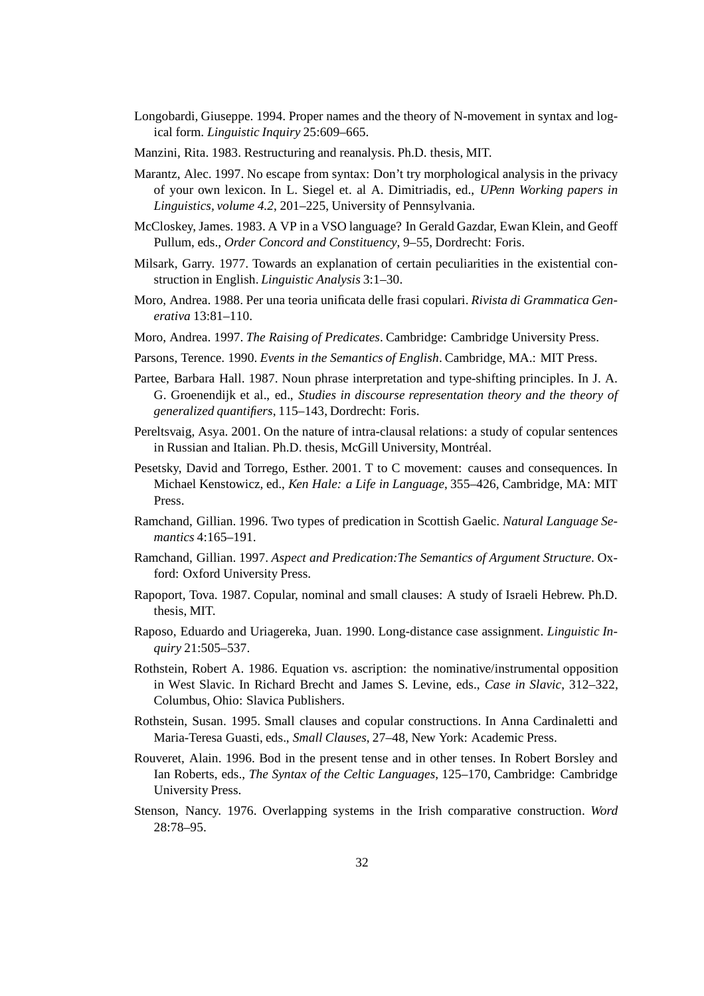- Longobardi, Giuseppe. 1994. Proper names and the theory of N-movement in syntax and logical form. *Linguistic Inquiry* 25:609–665.
- Manzini, Rita. 1983. Restructuring and reanalysis. Ph.D. thesis, MIT.
- Marantz, Alec. 1997. No escape from syntax: Don't try morphological analysis in the privacy of your own lexicon. In L. Siegel et. al A. Dimitriadis, ed., *UPenn Working papers in Linguistics, volume 4.2*, 201–225, University of Pennsylvania.
- McCloskey, James. 1983. A VP in a VSO language? In Gerald Gazdar, Ewan Klein, and Geoff Pullum, eds., *Order Concord and Constituency*, 9–55, Dordrecht: Foris.
- Milsark, Garry. 1977. Towards an explanation of certain peculiarities in the existential construction in English. *Linguistic Analysis* 3:1–30.
- Moro, Andrea. 1988. Per una teoria unificata delle frasi copulari. *Rivista di Grammatica Generativa* 13:81–110.
- Moro, Andrea. 1997. *The Raising of Predicates*. Cambridge: Cambridge University Press.
- Parsons, Terence. 1990. *Events in the Semantics of English*. Cambridge, MA.: MIT Press.
- Partee, Barbara Hall. 1987. Noun phrase interpretation and type-shifting principles. In J. A. G. Groenendijk et al., ed., *Studies in discourse representation theory and the theory of generalized quantifiers*, 115–143, Dordrecht: Foris.
- Pereltsvaig, Asya. 2001. On the nature of intra-clausal relations: a study of copular sentences in Russian and Italian. Ph.D. thesis, McGill University, Montréal.
- Pesetsky, David and Torrego, Esther. 2001. T to C movement: causes and consequences. In Michael Kenstowicz, ed., *Ken Hale: a Life in Language*, 355–426, Cambridge, MA: MIT Press.
- Ramchand, Gillian. 1996. Two types of predication in Scottish Gaelic. *Natural Language Semantics* 4:165–191.
- Ramchand, Gillian. 1997. *Aspect and Predication:The Semantics of Argument Structure*. Oxford: Oxford University Press.
- Rapoport, Tova. 1987. Copular, nominal and small clauses: A study of Israeli Hebrew. Ph.D. thesis, MIT.
- Raposo, Eduardo and Uriagereka, Juan. 1990. Long-distance case assignment. *Linguistic Inquiry* 21:505–537.
- Rothstein, Robert A. 1986. Equation vs. ascription: the nominative/instrumental opposition in West Slavic. In Richard Brecht and James S. Levine, eds., *Case in Slavic*, 312–322, Columbus, Ohio: Slavica Publishers.
- Rothstein, Susan. 1995. Small clauses and copular constructions. In Anna Cardinaletti and Maria-Teresa Guasti, eds., *Small Clauses*, 27–48, New York: Academic Press.
- Rouveret, Alain. 1996. Bod in the present tense and in other tenses. In Robert Borsley and Ian Roberts, eds., *The Syntax of the Celtic Languages*, 125–170, Cambridge: Cambridge University Press.
- Stenson, Nancy. 1976. Overlapping systems in the Irish comparative construction. *Word* 28:78–95.